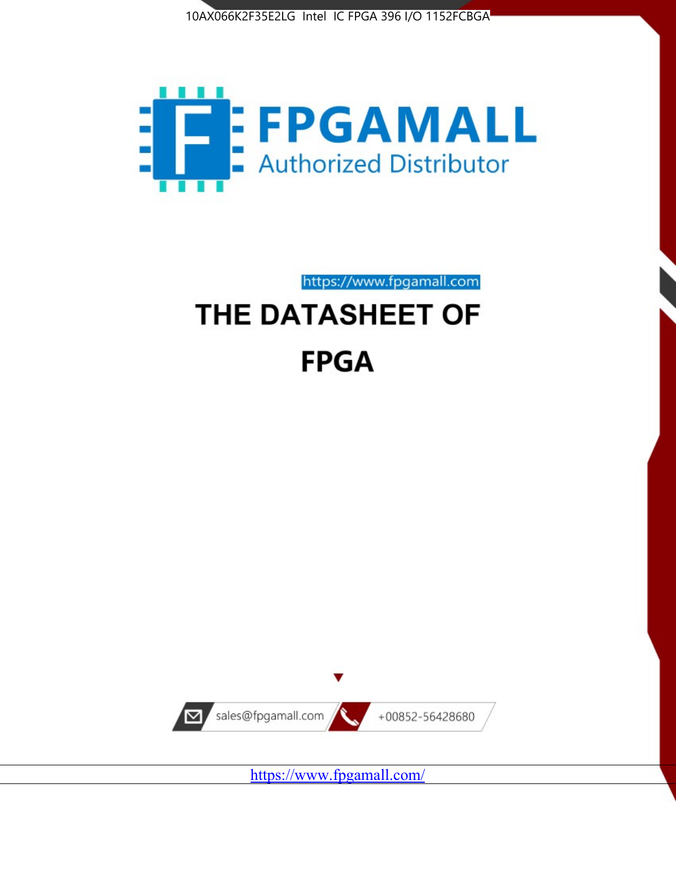



https://www.fpgamall.com THE DATASHEET OF

# **FPGA**



<https://www.fpgamall.com/>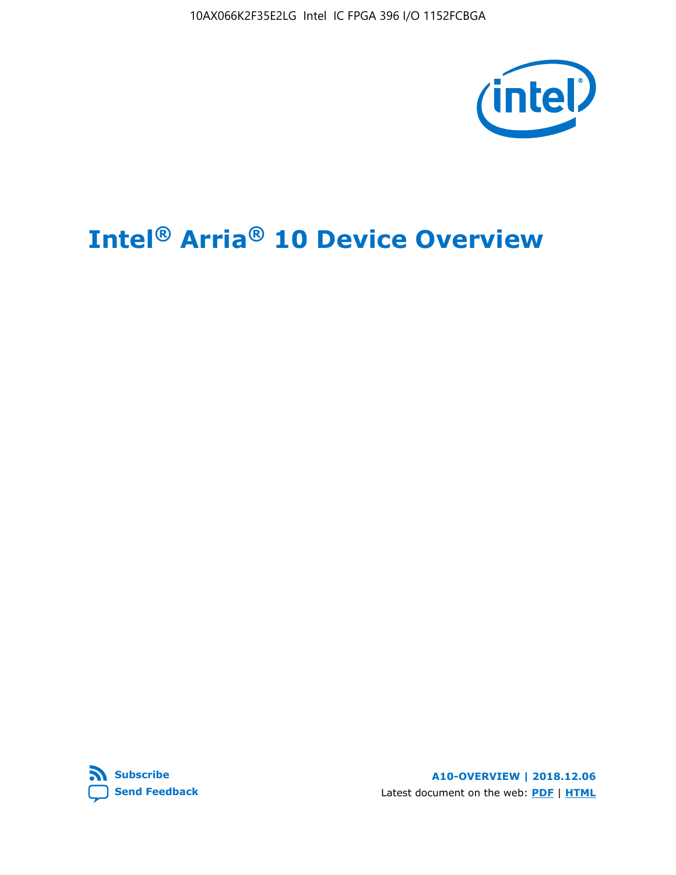10AX066K2F35E2LG Intel IC FPGA 396 I/O 1152FCBGA



# **Intel® Arria® 10 Device Overview**



**A10-OVERVIEW | 2018.12.06** Latest document on the web: **[PDF](https://www.intel.com/content/dam/www/programmable/us/en/pdfs/literature/hb/arria-10/a10_overview.pdf)** | **[HTML](https://www.intel.com/content/www/us/en/programmable/documentation/sam1403480274650.html)**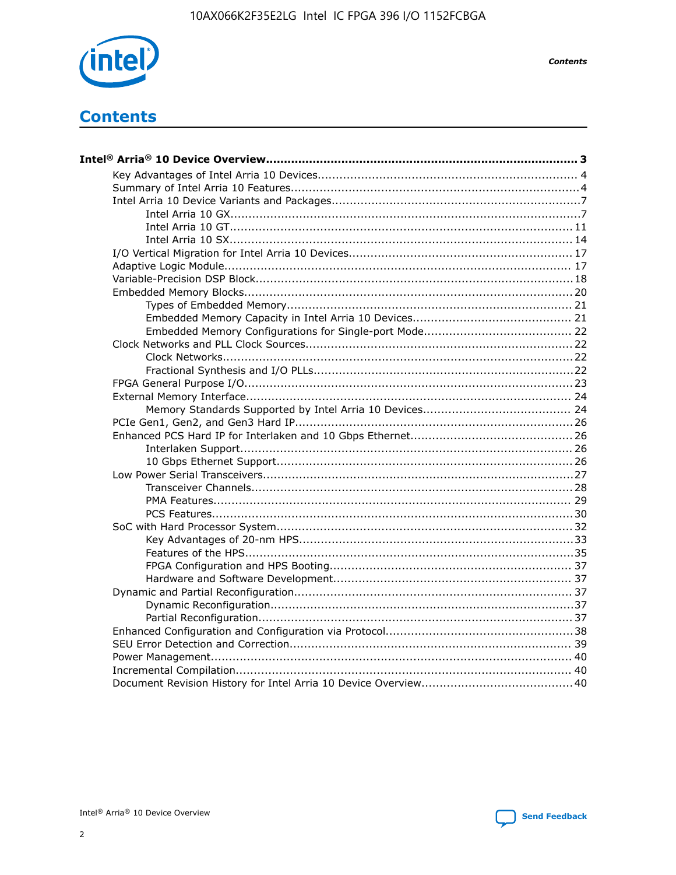

**Contents** 

# **Contents**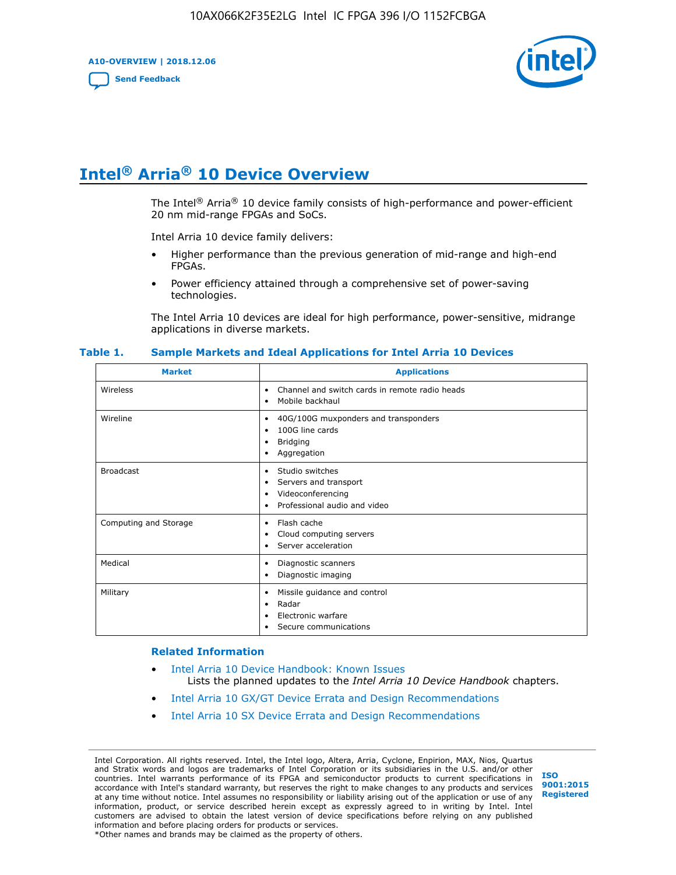**A10-OVERVIEW | 2018.12.06**

**[Send Feedback](mailto:FPGAtechdocfeedback@intel.com?subject=Feedback%20on%20Intel%20Arria%2010%20Device%20Overview%20(A10-OVERVIEW%202018.12.06)&body=We%20appreciate%20your%20feedback.%20In%20your%20comments,%20also%20specify%20the%20page%20number%20or%20paragraph.%20Thank%20you.)**



# **Intel® Arria® 10 Device Overview**

The Intel<sup>®</sup> Arria<sup>®</sup> 10 device family consists of high-performance and power-efficient 20 nm mid-range FPGAs and SoCs.

Intel Arria 10 device family delivers:

- Higher performance than the previous generation of mid-range and high-end FPGAs.
- Power efficiency attained through a comprehensive set of power-saving technologies.

The Intel Arria 10 devices are ideal for high performance, power-sensitive, midrange applications in diverse markets.

| <b>Market</b>         | <b>Applications</b>                                                                                               |
|-----------------------|-------------------------------------------------------------------------------------------------------------------|
| Wireless              | Channel and switch cards in remote radio heads<br>٠<br>Mobile backhaul<br>٠                                       |
| Wireline              | 40G/100G muxponders and transponders<br>٠<br>100G line cards<br>٠<br><b>Bridging</b><br>٠<br>Aggregation<br>٠     |
| <b>Broadcast</b>      | Studio switches<br>٠<br>Servers and transport<br>٠<br>Videoconferencing<br>٠<br>Professional audio and video<br>٠ |
| Computing and Storage | Flash cache<br>٠<br>Cloud computing servers<br>٠<br>Server acceleration<br>٠                                      |
| Medical               | Diagnostic scanners<br>٠<br>Diagnostic imaging<br>٠                                                               |
| Military              | Missile guidance and control<br>٠<br>Radar<br>٠<br>Electronic warfare<br>٠<br>Secure communications<br>٠          |

#### **Table 1. Sample Markets and Ideal Applications for Intel Arria 10 Devices**

#### **Related Information**

- [Intel Arria 10 Device Handbook: Known Issues](http://www.altera.com/support/kdb/solutions/rd07302013_646.html) Lists the planned updates to the *Intel Arria 10 Device Handbook* chapters.
- [Intel Arria 10 GX/GT Device Errata and Design Recommendations](https://www.intel.com/content/www/us/en/programmable/documentation/agz1493851706374.html#yqz1494433888646)
- [Intel Arria 10 SX Device Errata and Design Recommendations](https://www.intel.com/content/www/us/en/programmable/documentation/cru1462832385668.html#cru1462832558642)

Intel Corporation. All rights reserved. Intel, the Intel logo, Altera, Arria, Cyclone, Enpirion, MAX, Nios, Quartus and Stratix words and logos are trademarks of Intel Corporation or its subsidiaries in the U.S. and/or other countries. Intel warrants performance of its FPGA and semiconductor products to current specifications in accordance with Intel's standard warranty, but reserves the right to make changes to any products and services at any time without notice. Intel assumes no responsibility or liability arising out of the application or use of any information, product, or service described herein except as expressly agreed to in writing by Intel. Intel customers are advised to obtain the latest version of device specifications before relying on any published information and before placing orders for products or services. \*Other names and brands may be claimed as the property of others.

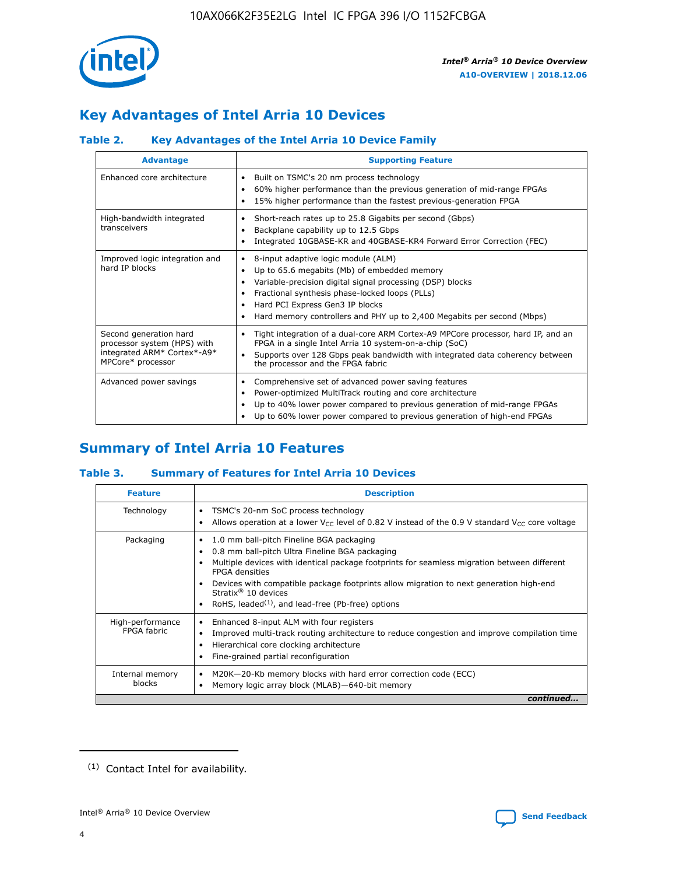

## **Key Advantages of Intel Arria 10 Devices**

## **Table 2. Key Advantages of the Intel Arria 10 Device Family**

| <b>Advantage</b>                                                                                          | <b>Supporting Feature</b>                                                                                                                                                                                                                                                                                                |  |  |  |  |  |
|-----------------------------------------------------------------------------------------------------------|--------------------------------------------------------------------------------------------------------------------------------------------------------------------------------------------------------------------------------------------------------------------------------------------------------------------------|--|--|--|--|--|
| Enhanced core architecture                                                                                | Built on TSMC's 20 nm process technology<br>٠<br>60% higher performance than the previous generation of mid-range FPGAs<br>٠<br>15% higher performance than the fastest previous-generation FPGA<br>٠                                                                                                                    |  |  |  |  |  |
| High-bandwidth integrated<br>transceivers                                                                 | Short-reach rates up to 25.8 Gigabits per second (Gbps)<br>٠<br>Backplane capability up to 12.5 Gbps<br>٠<br>Integrated 10GBASE-KR and 40GBASE-KR4 Forward Error Correction (FEC)<br>٠                                                                                                                                   |  |  |  |  |  |
| Improved logic integration and<br>hard IP blocks                                                          | 8-input adaptive logic module (ALM)<br>٠<br>Up to 65.6 megabits (Mb) of embedded memory<br>٠<br>Variable-precision digital signal processing (DSP) blocks<br>Fractional synthesis phase-locked loops (PLLs)<br>Hard PCI Express Gen3 IP blocks<br>Hard memory controllers and PHY up to 2,400 Megabits per second (Mbps) |  |  |  |  |  |
| Second generation hard<br>processor system (HPS) with<br>integrated ARM* Cortex*-A9*<br>MPCore* processor | Tight integration of a dual-core ARM Cortex-A9 MPCore processor, hard IP, and an<br>٠<br>FPGA in a single Intel Arria 10 system-on-a-chip (SoC)<br>Supports over 128 Gbps peak bandwidth with integrated data coherency between<br>$\bullet$<br>the processor and the FPGA fabric                                        |  |  |  |  |  |
| Advanced power savings                                                                                    | Comprehensive set of advanced power saving features<br>٠<br>Power-optimized MultiTrack routing and core architecture<br>٠<br>Up to 40% lower power compared to previous generation of mid-range FPGAs<br>Up to 60% lower power compared to previous generation of high-end FPGAs                                         |  |  |  |  |  |

## **Summary of Intel Arria 10 Features**

## **Table 3. Summary of Features for Intel Arria 10 Devices**

| <b>Feature</b>                  | <b>Description</b>                                                                                                                                                                                                                                                                                                                                                                                 |
|---------------------------------|----------------------------------------------------------------------------------------------------------------------------------------------------------------------------------------------------------------------------------------------------------------------------------------------------------------------------------------------------------------------------------------------------|
| Technology                      | TSMC's 20-nm SoC process technology<br>Allows operation at a lower $V_{\text{CC}}$ level of 0.82 V instead of the 0.9 V standard $V_{\text{CC}}$ core voltage                                                                                                                                                                                                                                      |
| Packaging                       | 1.0 mm ball-pitch Fineline BGA packaging<br>٠<br>0.8 mm ball-pitch Ultra Fineline BGA packaging<br>Multiple devices with identical package footprints for seamless migration between different<br><b>FPGA</b> densities<br>Devices with compatible package footprints allow migration to next generation high-end<br>Stratix $@10$ devices<br>RoHS, leaded $(1)$ , and lead-free (Pb-free) options |
| High-performance<br>FPGA fabric | Enhanced 8-input ALM with four registers<br>Improved multi-track routing architecture to reduce congestion and improve compilation time<br>Hierarchical core clocking architecture<br>Fine-grained partial reconfiguration                                                                                                                                                                         |
| Internal memory<br>blocks       | M20K-20-Kb memory blocks with hard error correction code (ECC)<br>Memory logic array block (MLAB)-640-bit memory                                                                                                                                                                                                                                                                                   |
|                                 | continued                                                                                                                                                                                                                                                                                                                                                                                          |



<sup>(1)</sup> Contact Intel for availability.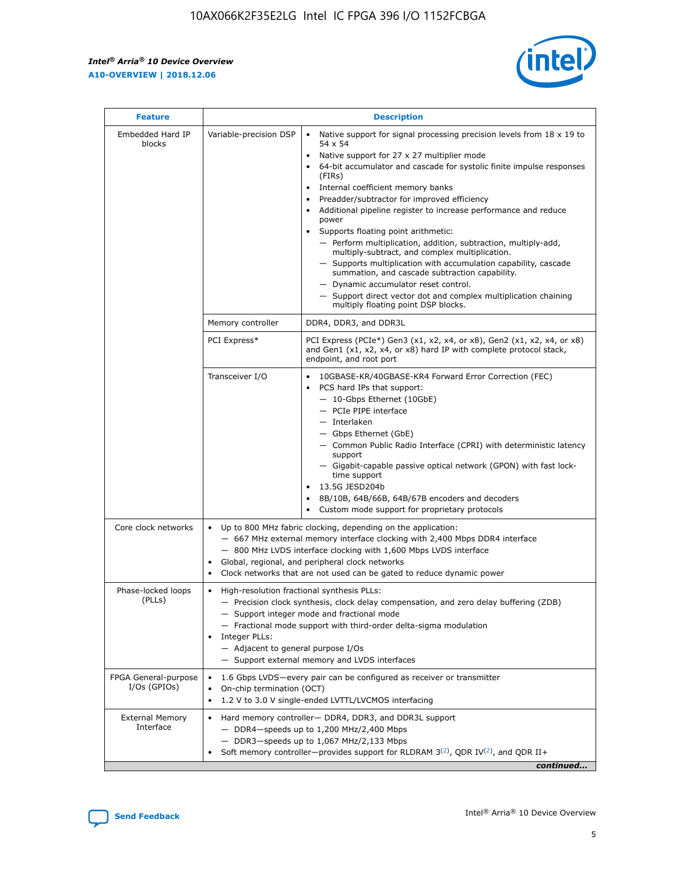r



| <b>Feature</b>                         |                                                                                                                | <b>Description</b>                                                                                                                                                                                                                                                                                                                                                                                                                                                                                                                                                                                                                                                                                                                                                                                                                                               |  |  |  |  |  |  |
|----------------------------------------|----------------------------------------------------------------------------------------------------------------|------------------------------------------------------------------------------------------------------------------------------------------------------------------------------------------------------------------------------------------------------------------------------------------------------------------------------------------------------------------------------------------------------------------------------------------------------------------------------------------------------------------------------------------------------------------------------------------------------------------------------------------------------------------------------------------------------------------------------------------------------------------------------------------------------------------------------------------------------------------|--|--|--|--|--|--|
| Embedded Hard IP<br>blocks             | Variable-precision DSP                                                                                         | Native support for signal processing precision levels from $18 \times 19$ to<br>$\bullet$<br>54 x 54<br>Native support for 27 x 27 multiplier mode<br>$\bullet$<br>64-bit accumulator and cascade for systolic finite impulse responses<br>(FIRs)<br>Internal coefficient memory banks<br>$\bullet$<br>Preadder/subtractor for improved efficiency<br>Additional pipeline register to increase performance and reduce<br>power<br>Supports floating point arithmetic:<br>- Perform multiplication, addition, subtraction, multiply-add,<br>multiply-subtract, and complex multiplication.<br>- Supports multiplication with accumulation capability, cascade<br>summation, and cascade subtraction capability.<br>- Dynamic accumulator reset control.<br>- Support direct vector dot and complex multiplication chaining<br>multiply floating point DSP blocks. |  |  |  |  |  |  |
|                                        | Memory controller                                                                                              | DDR4, DDR3, and DDR3L                                                                                                                                                                                                                                                                                                                                                                                                                                                                                                                                                                                                                                                                                                                                                                                                                                            |  |  |  |  |  |  |
|                                        | PCI Express*                                                                                                   | PCI Express (PCIe*) Gen3 (x1, x2, x4, or x8), Gen2 (x1, x2, x4, or x8)<br>and Gen1 (x1, x2, x4, or x8) hard IP with complete protocol stack,<br>endpoint, and root port                                                                                                                                                                                                                                                                                                                                                                                                                                                                                                                                                                                                                                                                                          |  |  |  |  |  |  |
|                                        | Transceiver I/O                                                                                                | 10GBASE-KR/40GBASE-KR4 Forward Error Correction (FEC)<br>PCS hard IPs that support:<br>- 10-Gbps Ethernet (10GbE)<br>- PCIe PIPE interface<br>- Interlaken<br>- Gbps Ethernet (GbE)<br>- Common Public Radio Interface (CPRI) with deterministic latency<br>support<br>- Gigabit-capable passive optical network (GPON) with fast lock-<br>time support<br>13.5G JESD204b<br>$\bullet$<br>8B/10B, 64B/66B, 64B/67B encoders and decoders<br>Custom mode support for proprietary protocols                                                                                                                                                                                                                                                                                                                                                                        |  |  |  |  |  |  |
| Core clock networks                    | $\bullet$                                                                                                      | Up to 800 MHz fabric clocking, depending on the application:<br>- 667 MHz external memory interface clocking with 2,400 Mbps DDR4 interface<br>- 800 MHz LVDS interface clocking with 1,600 Mbps LVDS interface<br>Global, regional, and peripheral clock networks<br>Clock networks that are not used can be gated to reduce dynamic power                                                                                                                                                                                                                                                                                                                                                                                                                                                                                                                      |  |  |  |  |  |  |
| Phase-locked loops<br>(PLLs)           | High-resolution fractional synthesis PLLs:<br>$\bullet$<br>Integer PLLs:<br>- Adjacent to general purpose I/Os | - Precision clock synthesis, clock delay compensation, and zero delay buffering (ZDB)<br>- Support integer mode and fractional mode<br>- Fractional mode support with third-order delta-sigma modulation<br>- Support external memory and LVDS interfaces                                                                                                                                                                                                                                                                                                                                                                                                                                                                                                                                                                                                        |  |  |  |  |  |  |
| FPGA General-purpose<br>$I/Os$ (GPIOs) | On-chip termination (OCT)<br>٠<br>$\bullet$                                                                    | 1.6 Gbps LVDS-every pair can be configured as receiver or transmitter                                                                                                                                                                                                                                                                                                                                                                                                                                                                                                                                                                                                                                                                                                                                                                                            |  |  |  |  |  |  |
| <b>External Memory</b><br>Interface    | $\bullet$                                                                                                      | 1.2 V to 3.0 V single-ended LVTTL/LVCMOS interfacing<br>Hard memory controller- DDR4, DDR3, and DDR3L support<br>$-$ DDR4-speeds up to 1,200 MHz/2,400 Mbps<br>- DDR3-speeds up to 1,067 MHz/2,133 Mbps<br>Soft memory controller—provides support for RLDRAM $3^{(2)}$ , QDR IV $^{(2)}$ , and QDR II+<br>continued                                                                                                                                                                                                                                                                                                                                                                                                                                                                                                                                             |  |  |  |  |  |  |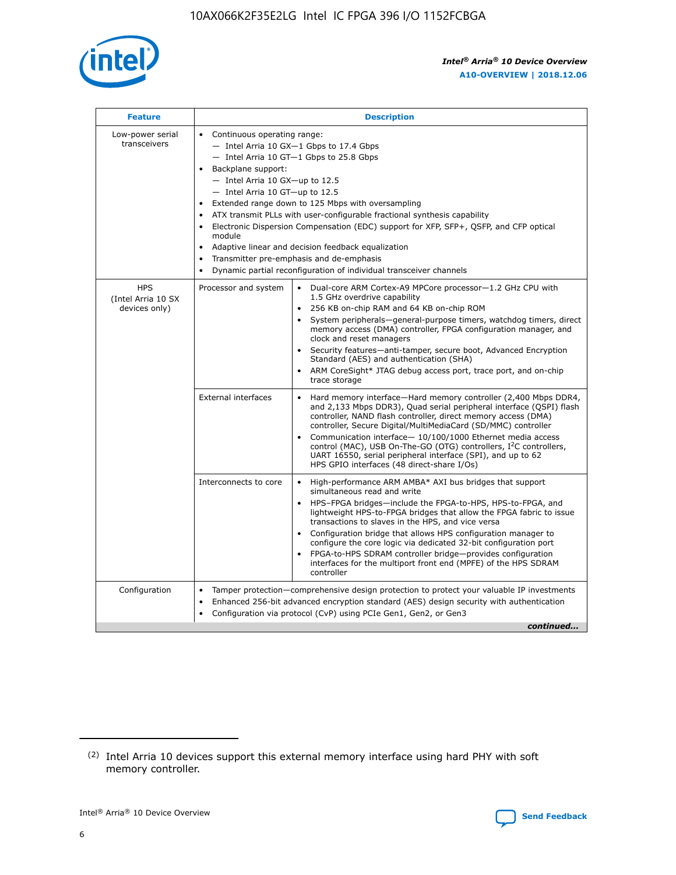

| <b>Feature</b>                                    | <b>Description</b>                                                                                                                                                                                                                                                                                                                                                                                                                                                                                                                                                                                                                                      |
|---------------------------------------------------|---------------------------------------------------------------------------------------------------------------------------------------------------------------------------------------------------------------------------------------------------------------------------------------------------------------------------------------------------------------------------------------------------------------------------------------------------------------------------------------------------------------------------------------------------------------------------------------------------------------------------------------------------------|
| Low-power serial<br>transceivers                  | • Continuous operating range:<br>- Intel Arria 10 GX-1 Gbps to 17.4 Gbps<br>- Intel Arria 10 GT-1 Gbps to 25.8 Gbps<br>Backplane support:<br>$-$ Intel Arria 10 GX-up to 12.5<br>- Intel Arria 10 GT-up to 12.5<br>Extended range down to 125 Mbps with oversampling<br>ATX transmit PLLs with user-configurable fractional synthesis capability<br>• Electronic Dispersion Compensation (EDC) support for XFP, SFP+, QSFP, and CFP optical<br>module<br>Adaptive linear and decision feedback equalization<br>$\bullet$<br>Transmitter pre-emphasis and de-emphasis<br>$\bullet$<br>Dynamic partial reconfiguration of individual transceiver channels |
| <b>HPS</b><br>(Intel Arria 10 SX<br>devices only) | Processor and system<br>Dual-core ARM Cortex-A9 MPCore processor-1.2 GHz CPU with<br>$\bullet$<br>1.5 GHz overdrive capability<br>• 256 KB on-chip RAM and 64 KB on-chip ROM<br>System peripherals-general-purpose timers, watchdog timers, direct<br>memory access (DMA) controller, FPGA configuration manager, and<br>clock and reset managers<br>• Security features—anti-tamper, secure boot, Advanced Encryption<br>Standard (AES) and authentication (SHA)<br>ARM CoreSight* JTAG debug access port, trace port, and on-chip<br>trace storage                                                                                                    |
|                                                   | <b>External interfaces</b><br>Hard memory interface—Hard memory controller (2,400 Mbps DDR4,<br>$\bullet$<br>and 2,133 Mbps DDR3), Quad serial peripheral interface (QSPI) flash<br>controller, NAND flash controller, direct memory access (DMA)<br>controller, Secure Digital/MultiMediaCard (SD/MMC) controller<br>Communication interface-10/100/1000 Ethernet media access<br>control (MAC), USB On-The-GO (OTG) controllers, I <sup>2</sup> C controllers,<br>UART 16550, serial peripheral interface (SPI), and up to 62<br>HPS GPIO interfaces (48 direct-share I/Os)                                                                           |
|                                                   | High-performance ARM AMBA* AXI bus bridges that support<br>Interconnects to core<br>$\bullet$<br>simultaneous read and write<br>HPS-FPGA bridges—include the FPGA-to-HPS, HPS-to-FPGA, and<br>lightweight HPS-to-FPGA bridges that allow the FPGA fabric to issue<br>transactions to slaves in the HPS, and vice versa<br>Configuration bridge that allows HPS configuration manager to<br>configure the core logic via dedicated 32-bit configuration port<br>FPGA-to-HPS SDRAM controller bridge-provides configuration<br>interfaces for the multiport front end (MPFE) of the HPS SDRAM<br>controller                                               |
| Configuration                                     | Tamper protection—comprehensive design protection to protect your valuable IP investments<br>Enhanced 256-bit advanced encryption standard (AES) design security with authentication<br>٠<br>Configuration via protocol (CvP) using PCIe Gen1, Gen2, or Gen3<br>continued                                                                                                                                                                                                                                                                                                                                                                               |

<sup>(2)</sup> Intel Arria 10 devices support this external memory interface using hard PHY with soft memory controller.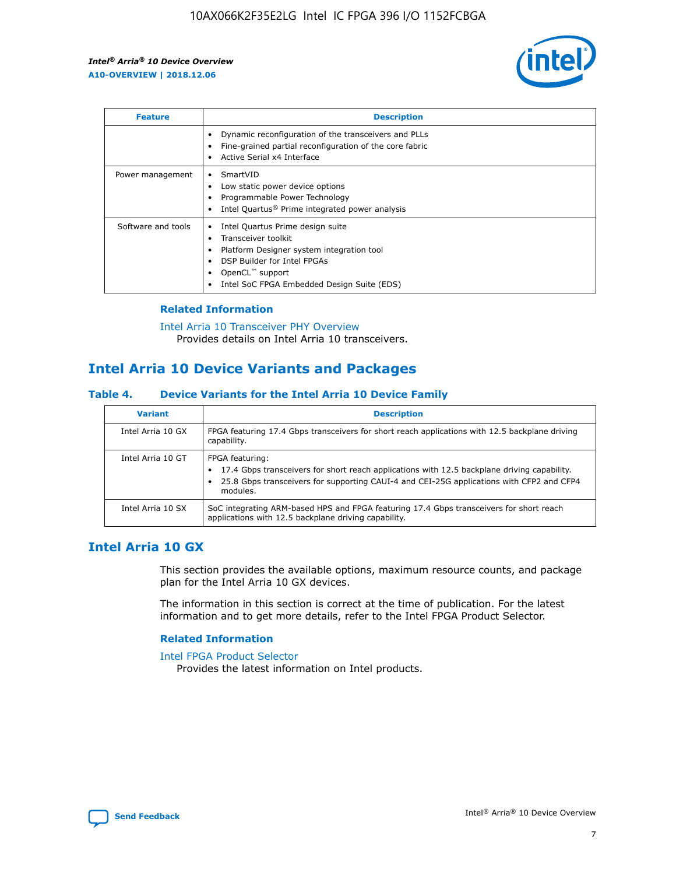

| <b>Feature</b>     | <b>Description</b>                                                                                                                                                                                               |
|--------------------|------------------------------------------------------------------------------------------------------------------------------------------------------------------------------------------------------------------|
|                    | Dynamic reconfiguration of the transceivers and PLLs<br>Fine-grained partial reconfiguration of the core fabric<br>Active Serial x4 Interface<br>$\bullet$                                                       |
| Power management   | SmartVID<br>Low static power device options<br>Programmable Power Technology<br>Intel Quartus <sup>®</sup> Prime integrated power analysis                                                                       |
| Software and tools | Intel Quartus Prime design suite<br>Transceiver toolkit<br>Platform Designer system integration tool<br>DSP Builder for Intel FPGAs<br>OpenCL <sup>™</sup> support<br>Intel SoC FPGA Embedded Design Suite (EDS) |

## **Related Information**

[Intel Arria 10 Transceiver PHY Overview](https://www.intel.com/content/www/us/en/programmable/documentation/nik1398707230472.html#nik1398706768037) Provides details on Intel Arria 10 transceivers.

## **Intel Arria 10 Device Variants and Packages**

#### **Table 4. Device Variants for the Intel Arria 10 Device Family**

| <b>Variant</b>    | <b>Description</b>                                                                                                                                                                                                     |
|-------------------|------------------------------------------------------------------------------------------------------------------------------------------------------------------------------------------------------------------------|
| Intel Arria 10 GX | FPGA featuring 17.4 Gbps transceivers for short reach applications with 12.5 backplane driving<br>capability.                                                                                                          |
| Intel Arria 10 GT | FPGA featuring:<br>17.4 Gbps transceivers for short reach applications with 12.5 backplane driving capability.<br>25.8 Gbps transceivers for supporting CAUI-4 and CEI-25G applications with CFP2 and CFP4<br>modules. |
| Intel Arria 10 SX | SoC integrating ARM-based HPS and FPGA featuring 17.4 Gbps transceivers for short reach<br>applications with 12.5 backplane driving capability.                                                                        |

## **Intel Arria 10 GX**

This section provides the available options, maximum resource counts, and package plan for the Intel Arria 10 GX devices.

The information in this section is correct at the time of publication. For the latest information and to get more details, refer to the Intel FPGA Product Selector.

### **Related Information**

#### [Intel FPGA Product Selector](http://www.altera.com/products/selector/psg-selector.html) Provides the latest information on Intel products.

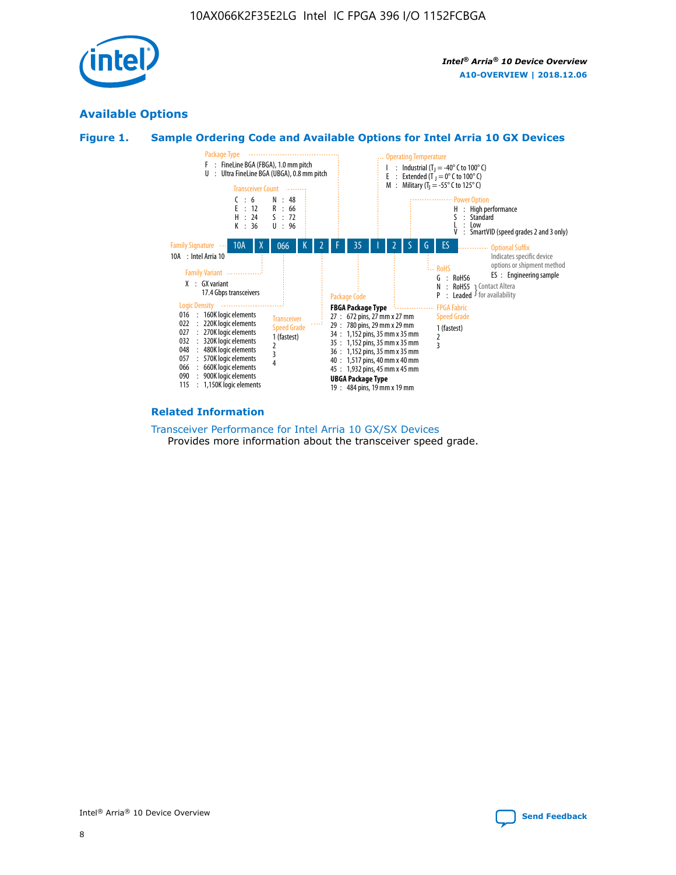

## **Available Options**





## **Related Information**

#### [Transceiver Performance for Intel Arria 10 GX/SX Devices](https://www.intel.com/content/www/us/en/programmable/documentation/mcn1413182292568.html#mcn1413213965502) Provides more information about the transceiver speed grade.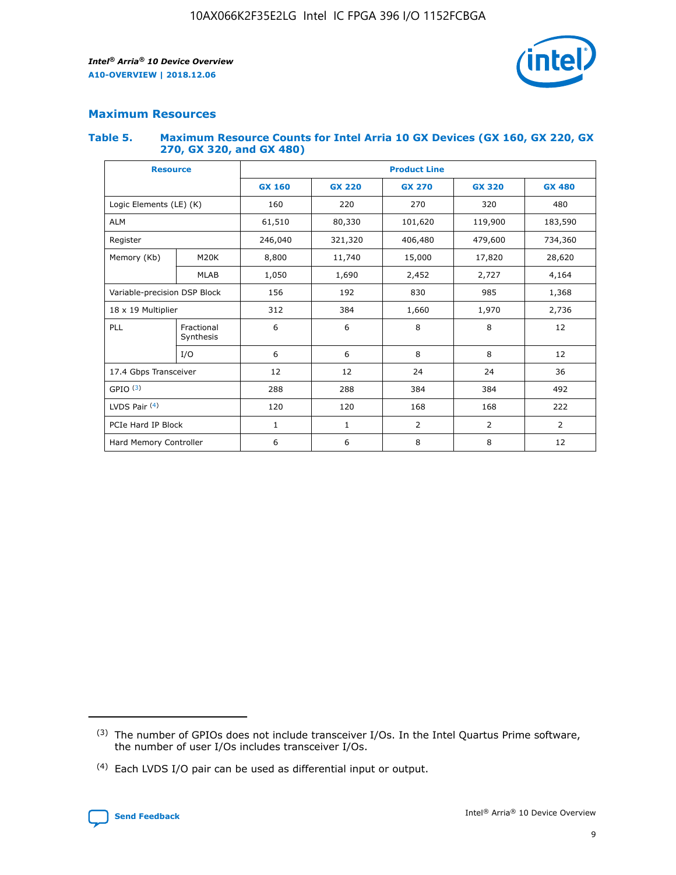

## **Maximum Resources**

### **Table 5. Maximum Resource Counts for Intel Arria 10 GX Devices (GX 160, GX 220, GX 270, GX 320, and GX 480)**

| <b>Resource</b>         |                              | <b>Product Line</b> |                                                 |                    |                |                |  |  |  |
|-------------------------|------------------------------|---------------------|-------------------------------------------------|--------------------|----------------|----------------|--|--|--|
|                         |                              | <b>GX 160</b>       | <b>GX 220</b><br><b>GX 270</b><br><b>GX 320</b> |                    |                | <b>GX 480</b>  |  |  |  |
| Logic Elements (LE) (K) |                              | 160                 | 220                                             | 270                | 320            | 480            |  |  |  |
| <b>ALM</b>              |                              | 61,510              | 80,330                                          | 101,620            | 119,900        | 183,590        |  |  |  |
| Register                |                              | 246,040             | 321,320                                         | 406,480<br>479,600 |                | 734,360        |  |  |  |
| Memory (Kb)             | M <sub>20</sub> K            | 8,800               | 11,740                                          | 15,000             | 17,820         | 28,620         |  |  |  |
|                         | <b>MLAB</b>                  | 1,050               | 1,690                                           | 2,452              | 2,727          | 4,164          |  |  |  |
|                         | Variable-precision DSP Block |                     | 192                                             | 830<br>985         |                | 1,368          |  |  |  |
| 18 x 19 Multiplier      |                              | 312                 | 384                                             | 1,970<br>1,660     |                | 2,736          |  |  |  |
| PLL                     | Fractional<br>Synthesis      | 6                   | 6                                               | 8                  | 8              | 12             |  |  |  |
|                         | I/O                          | 6                   | 6                                               | 8                  | 8              | 12             |  |  |  |
| 17.4 Gbps Transceiver   |                              | 12                  | 12                                              | 24                 | 24             | 36             |  |  |  |
| GPIO <sup>(3)</sup>     |                              | 288                 | 288                                             | 384                | 384            | 492            |  |  |  |
| LVDS Pair $(4)$         |                              | 120                 | 120                                             | 168                | 168            | 222            |  |  |  |
| PCIe Hard IP Block      |                              | 1                   | 1                                               | 2                  | $\overline{2}$ | $\overline{2}$ |  |  |  |
| Hard Memory Controller  |                              | 6                   | 6                                               | 8                  | 8              | 12             |  |  |  |

<sup>(4)</sup> Each LVDS I/O pair can be used as differential input or output.



<sup>(3)</sup> The number of GPIOs does not include transceiver I/Os. In the Intel Quartus Prime software, the number of user I/Os includes transceiver I/Os.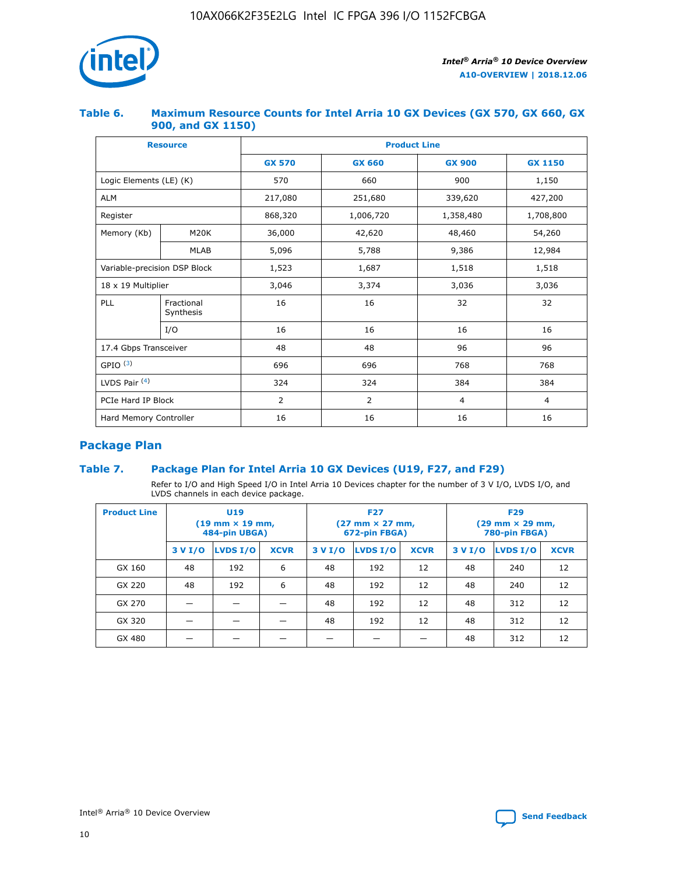

## **Table 6. Maximum Resource Counts for Intel Arria 10 GX Devices (GX 570, GX 660, GX 900, and GX 1150)**

|                              | <b>Resource</b>         | <b>Product Line</b> |                |                |                |  |  |  |
|------------------------------|-------------------------|---------------------|----------------|----------------|----------------|--|--|--|
|                              |                         | <b>GX 570</b>       | <b>GX 660</b>  | <b>GX 900</b>  | <b>GX 1150</b> |  |  |  |
| Logic Elements (LE) (K)      |                         | 570                 | 660            | 900            | 1,150          |  |  |  |
| <b>ALM</b>                   |                         | 217,080             | 251,680        | 339,620        | 427,200        |  |  |  |
| Register                     |                         | 868,320             | 1,006,720      | 1,358,480      | 1,708,800      |  |  |  |
| Memory (Kb)                  | <b>M20K</b>             | 36,000              | 42,620         | 48,460         | 54,260         |  |  |  |
|                              | <b>MLAB</b>             | 5,096               | 5,788          | 9,386          | 12,984         |  |  |  |
| Variable-precision DSP Block |                         | 1,523               | 1,687          | 1,518          | 1,518          |  |  |  |
|                              | 18 x 19 Multiplier      |                     | 3,374          | 3,036          | 3,036          |  |  |  |
| PLL                          | Fractional<br>Synthesis | 16                  | 16             | 32             | 32             |  |  |  |
|                              | I/O                     | 16                  | 16             | 16             | 16             |  |  |  |
| 17.4 Gbps Transceiver        |                         | 48                  | 48             | 96             | 96             |  |  |  |
| GPIO <sup>(3)</sup>          |                         | 696                 | 696            | 768            | 768            |  |  |  |
| LVDS Pair $(4)$              |                         | 324                 | 324<br>384     |                | 384            |  |  |  |
| PCIe Hard IP Block           |                         | 2                   | $\overline{2}$ | $\overline{4}$ | $\overline{4}$ |  |  |  |
| Hard Memory Controller       |                         | 16                  | 16             | 16             | 16             |  |  |  |

## **Package Plan**

## **Table 7. Package Plan for Intel Arria 10 GX Devices (U19, F27, and F29)**

Refer to I/O and High Speed I/O in Intel Arria 10 Devices chapter for the number of 3 V I/O, LVDS I/O, and LVDS channels in each device package.

| <b>Product Line</b> | U <sub>19</sub><br>$(19 \text{ mm} \times 19 \text{ mm})$<br>484-pin UBGA) |          |             |         | <b>F27</b><br>(27 mm × 27 mm,<br>672-pin FBGA) |             | <b>F29</b><br>(29 mm × 29 mm,<br>780-pin FBGA) |          |             |  |
|---------------------|----------------------------------------------------------------------------|----------|-------------|---------|------------------------------------------------|-------------|------------------------------------------------|----------|-------------|--|
|                     | 3 V I/O                                                                    | LVDS I/O | <b>XCVR</b> | 3 V I/O | LVDS I/O                                       | <b>XCVR</b> | 3 V I/O                                        | LVDS I/O | <b>XCVR</b> |  |
| GX 160              | 48                                                                         | 192      | 6           | 48      | 192                                            | 12          | 48                                             | 240      | 12          |  |
| GX 220              | 48                                                                         | 192      | 6           | 48      | 192                                            | 12          | 48                                             | 240      | 12          |  |
| GX 270              |                                                                            |          |             | 48      | 192                                            | 12          | 48                                             | 312      | 12          |  |
| GX 320              |                                                                            |          |             | 48      | 192                                            | 12          | 48                                             | 312      | 12          |  |
| GX 480              |                                                                            |          |             |         |                                                |             | 48                                             | 312      | 12          |  |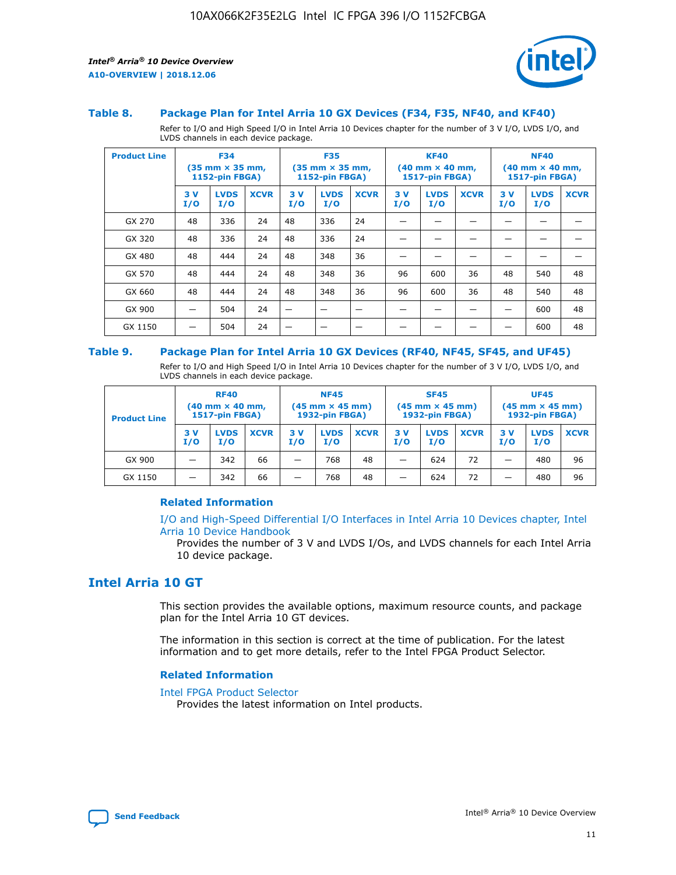

### **Table 8. Package Plan for Intel Arria 10 GX Devices (F34, F35, NF40, and KF40)**

Refer to I/O and High Speed I/O in Intel Arria 10 Devices chapter for the number of 3 V I/O, LVDS I/O, and LVDS channels in each device package.

| <b>Product Line</b> | <b>F34</b><br>$(35 \text{ mm} \times 35 \text{ mm})$<br><b>1152-pin FBGA)</b> |                    | <b>F35</b><br>$(35 \text{ mm} \times 35 \text{ mm})$<br><b>1152-pin FBGA)</b> |           | <b>KF40</b><br>$(40$ mm $\times$ 40 mm,<br><b>1517-pin FBGA)</b> |             |           | <b>NF40</b><br>$(40 \text{ mm} \times 40 \text{ mm})$<br>1517-pin FBGA) |             |           |                    |             |
|---------------------|-------------------------------------------------------------------------------|--------------------|-------------------------------------------------------------------------------|-----------|------------------------------------------------------------------|-------------|-----------|-------------------------------------------------------------------------|-------------|-----------|--------------------|-------------|
|                     | 3V<br>I/O                                                                     | <b>LVDS</b><br>I/O | <b>XCVR</b>                                                                   | 3V<br>I/O | <b>LVDS</b><br>I/O                                               | <b>XCVR</b> | 3V<br>I/O | <b>LVDS</b><br>I/O                                                      | <b>XCVR</b> | 3V<br>I/O | <b>LVDS</b><br>I/O | <b>XCVR</b> |
| GX 270              | 48                                                                            | 336                | 24                                                                            | 48        | 336                                                              | 24          |           |                                                                         |             |           |                    |             |
| GX 320              | 48                                                                            | 336                | 24                                                                            | 48        | 336                                                              | 24          |           |                                                                         |             |           |                    |             |
| GX 480              | 48                                                                            | 444                | 24                                                                            | 48        | 348                                                              | 36          |           |                                                                         |             |           |                    |             |
| GX 570              | 48                                                                            | 444                | 24                                                                            | 48        | 348                                                              | 36          | 96        | 600                                                                     | 36          | 48        | 540                | 48          |
| GX 660              | 48                                                                            | 444                | 24                                                                            | 48        | 348                                                              | 36          | 96        | 600                                                                     | 36          | 48        | 540                | 48          |
| GX 900              |                                                                               | 504                | 24                                                                            | –         |                                                                  | -           |           |                                                                         |             |           | 600                | 48          |
| GX 1150             |                                                                               | 504                | 24                                                                            |           |                                                                  |             |           |                                                                         |             |           | 600                | 48          |

#### **Table 9. Package Plan for Intel Arria 10 GX Devices (RF40, NF45, SF45, and UF45)**

Refer to I/O and High Speed I/O in Intel Arria 10 Devices chapter for the number of 3 V I/O, LVDS I/O, and LVDS channels in each device package.

| <b>Product Line</b> | <b>RF40</b><br>$(40$ mm $\times$ 40 mm,<br>1517-pin FBGA) |                    | <b>NF45</b><br>$(45 \text{ mm} \times 45 \text{ mm})$<br><b>1932-pin FBGA)</b> |            |                    | <b>SF45</b><br>$(45 \text{ mm} \times 45 \text{ mm})$<br><b>1932-pin FBGA)</b> |            |                    | <b>UF45</b><br>$(45 \text{ mm} \times 45 \text{ mm})$<br><b>1932-pin FBGA)</b> |           |                    |             |
|---------------------|-----------------------------------------------------------|--------------------|--------------------------------------------------------------------------------|------------|--------------------|--------------------------------------------------------------------------------|------------|--------------------|--------------------------------------------------------------------------------|-----------|--------------------|-------------|
|                     | 3V<br>I/O                                                 | <b>LVDS</b><br>I/O | <b>XCVR</b>                                                                    | 3 V<br>I/O | <b>LVDS</b><br>I/O | <b>XCVR</b>                                                                    | 3 V<br>I/O | <b>LVDS</b><br>I/O | <b>XCVR</b>                                                                    | 3V<br>I/O | <b>LVDS</b><br>I/O | <b>XCVR</b> |
| GX 900              |                                                           | 342                | 66                                                                             | _          | 768                | 48                                                                             |            | 624                | 72                                                                             |           | 480                | 96          |
| GX 1150             |                                                           | 342                | 66                                                                             | _          | 768                | 48                                                                             |            | 624                | 72                                                                             |           | 480                | 96          |

## **Related Information**

[I/O and High-Speed Differential I/O Interfaces in Intel Arria 10 Devices chapter, Intel](https://www.intel.com/content/www/us/en/programmable/documentation/sam1403482614086.html#sam1403482030321) [Arria 10 Device Handbook](https://www.intel.com/content/www/us/en/programmable/documentation/sam1403482614086.html#sam1403482030321)

Provides the number of 3 V and LVDS I/Os, and LVDS channels for each Intel Arria 10 device package.

## **Intel Arria 10 GT**

This section provides the available options, maximum resource counts, and package plan for the Intel Arria 10 GT devices.

The information in this section is correct at the time of publication. For the latest information and to get more details, refer to the Intel FPGA Product Selector.

#### **Related Information**

### [Intel FPGA Product Selector](http://www.altera.com/products/selector/psg-selector.html)

Provides the latest information on Intel products.

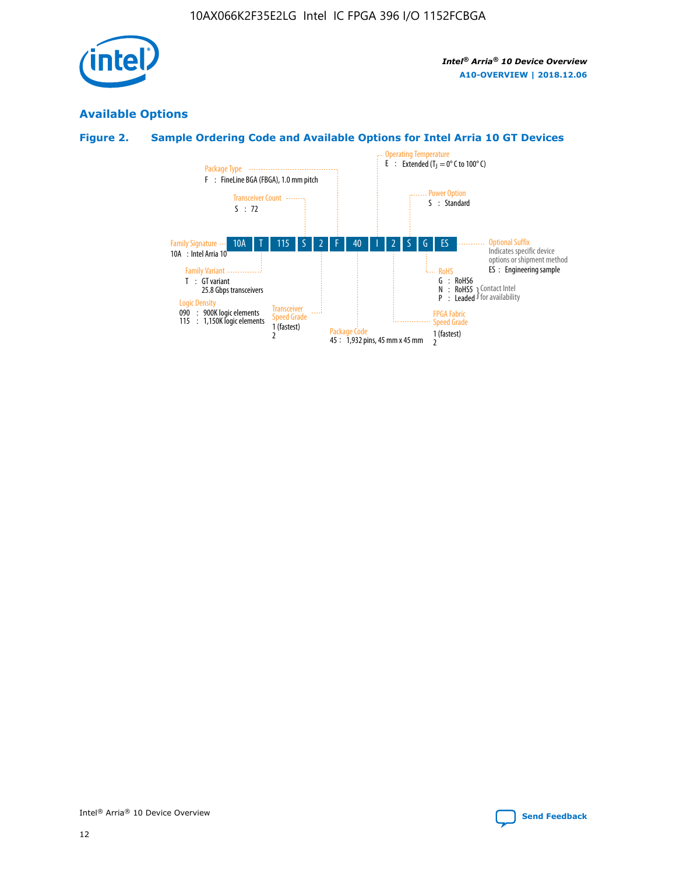

## **Available Options**

## **Figure 2. Sample Ordering Code and Available Options for Intel Arria 10 GT Devices**

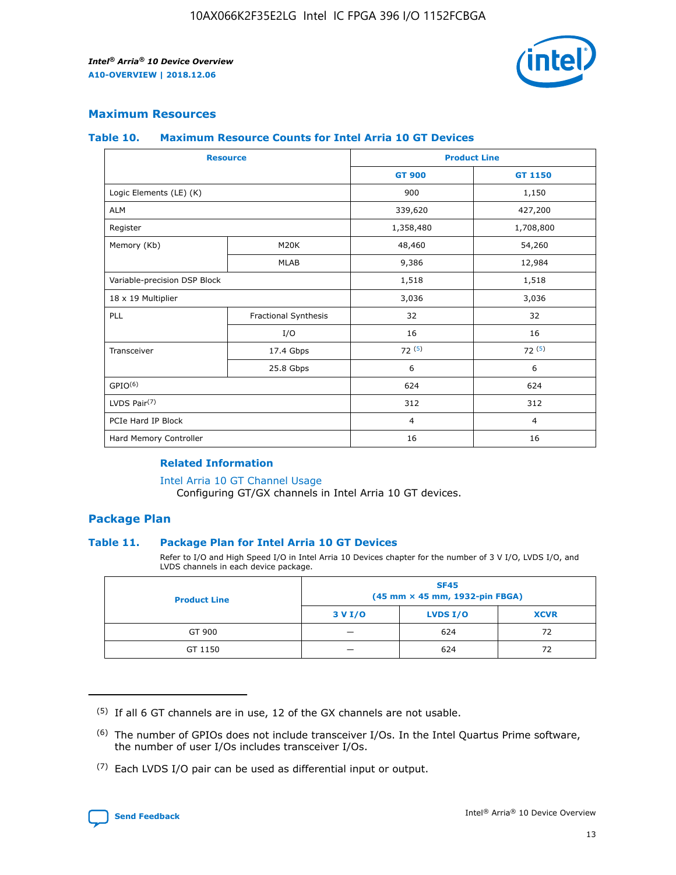

## **Maximum Resources**

#### **Table 10. Maximum Resource Counts for Intel Arria 10 GT Devices**

| <b>Resource</b>              |                      | <b>Product Line</b> |                |  |
|------------------------------|----------------------|---------------------|----------------|--|
|                              |                      | <b>GT 900</b>       | <b>GT 1150</b> |  |
| Logic Elements (LE) (K)      |                      | 900                 | 1,150          |  |
| <b>ALM</b>                   |                      | 339,620             | 427,200        |  |
| Register                     |                      | 1,358,480           | 1,708,800      |  |
| Memory (Kb)                  | M20K                 | 48,460              | 54,260         |  |
|                              | <b>MLAB</b>          | 9,386               | 12,984         |  |
| Variable-precision DSP Block |                      | 1,518               | 1,518          |  |
| 18 x 19 Multiplier           |                      | 3,036               | 3,036          |  |
| PLL                          | Fractional Synthesis | 32                  | 32             |  |
|                              | I/O                  | 16                  | 16             |  |
| Transceiver                  | 17.4 Gbps            | 72(5)               | 72(5)          |  |
|                              | 25.8 Gbps            | 6                   | 6              |  |
| GPIO <sup>(6)</sup>          |                      | 624                 | 624            |  |
| LVDS Pair $(7)$              |                      | 312                 | 312            |  |
| PCIe Hard IP Block           |                      | $\overline{4}$      | $\overline{4}$ |  |
| Hard Memory Controller       |                      | 16                  | 16             |  |

## **Related Information**

#### [Intel Arria 10 GT Channel Usage](https://www.intel.com/content/www/us/en/programmable/documentation/nik1398707230472.html#nik1398707008178)

Configuring GT/GX channels in Intel Arria 10 GT devices.

## **Package Plan**

#### **Table 11. Package Plan for Intel Arria 10 GT Devices**

Refer to I/O and High Speed I/O in Intel Arria 10 Devices chapter for the number of 3 V I/O, LVDS I/O, and LVDS channels in each device package.

| <b>Product Line</b> | <b>SF45</b><br>(45 mm × 45 mm, 1932-pin FBGA) |                 |             |  |  |  |
|---------------------|-----------------------------------------------|-----------------|-------------|--|--|--|
|                     | 3 V I/O                                       | <b>LVDS I/O</b> | <b>XCVR</b> |  |  |  |
| GT 900              |                                               | 624             | 72          |  |  |  |
| GT 1150             |                                               | 624             | 72          |  |  |  |

<sup>(7)</sup> Each LVDS I/O pair can be used as differential input or output.



 $(5)$  If all 6 GT channels are in use, 12 of the GX channels are not usable.

<sup>(6)</sup> The number of GPIOs does not include transceiver I/Os. In the Intel Quartus Prime software, the number of user I/Os includes transceiver I/Os.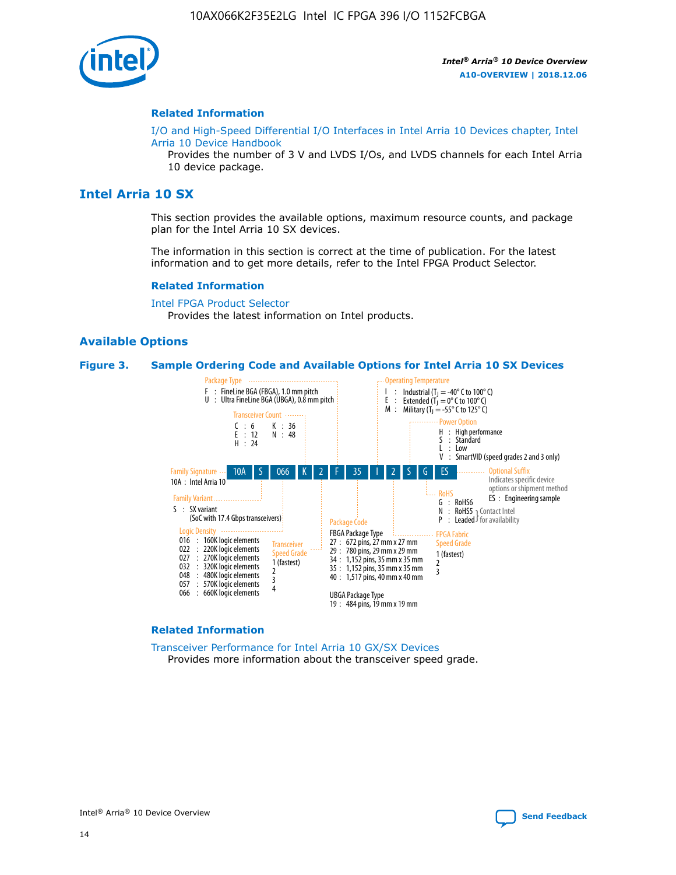

### **Related Information**

[I/O and High-Speed Differential I/O Interfaces in Intel Arria 10 Devices chapter, Intel](https://www.intel.com/content/www/us/en/programmable/documentation/sam1403482614086.html#sam1403482030321) [Arria 10 Device Handbook](https://www.intel.com/content/www/us/en/programmable/documentation/sam1403482614086.html#sam1403482030321)

Provides the number of 3 V and LVDS I/Os, and LVDS channels for each Intel Arria 10 device package.

## **Intel Arria 10 SX**

This section provides the available options, maximum resource counts, and package plan for the Intel Arria 10 SX devices.

The information in this section is correct at the time of publication. For the latest information and to get more details, refer to the Intel FPGA Product Selector.

#### **Related Information**

[Intel FPGA Product Selector](http://www.altera.com/products/selector/psg-selector.html) Provides the latest information on Intel products.

#### **Available Options**

#### **Figure 3. Sample Ordering Code and Available Options for Intel Arria 10 SX Devices**



#### **Related Information**

[Transceiver Performance for Intel Arria 10 GX/SX Devices](https://www.intel.com/content/www/us/en/programmable/documentation/mcn1413182292568.html#mcn1413213965502) Provides more information about the transceiver speed grade.



Intel® Arria® 10 Device Overview **[Send Feedback](mailto:FPGAtechdocfeedback@intel.com?subject=Feedback%20on%20Intel%20Arria%2010%20Device%20Overview%20(A10-OVERVIEW%202018.12.06)&body=We%20appreciate%20your%20feedback.%20In%20your%20comments,%20also%20specify%20the%20page%20number%20or%20paragraph.%20Thank%20you.)**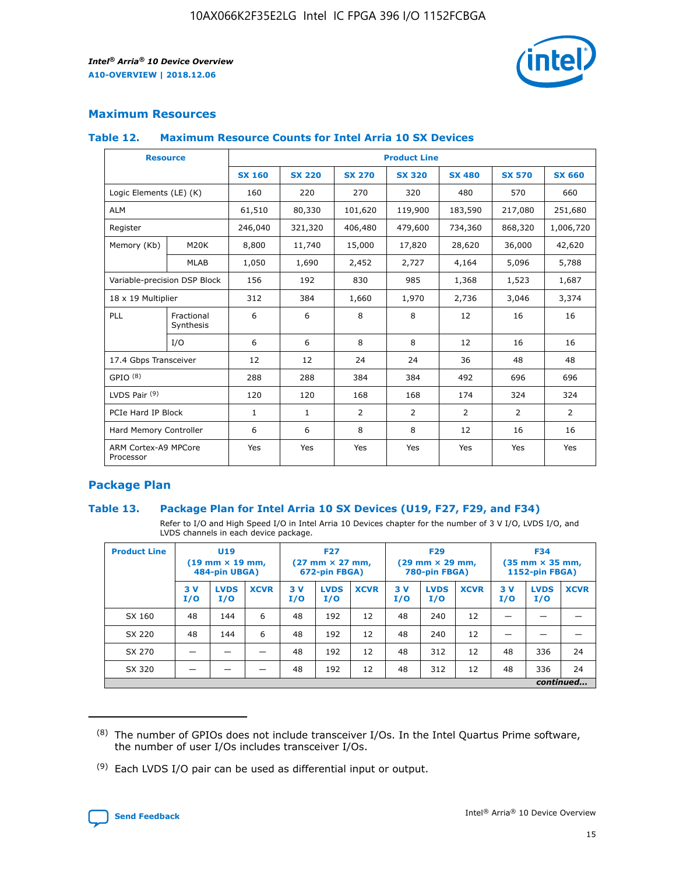

## **Maximum Resources**

#### **Table 12. Maximum Resource Counts for Intel Arria 10 SX Devices**

| <b>Resource</b>                   |                         | <b>Product Line</b> |               |                |                |                |                |                |  |  |  |
|-----------------------------------|-------------------------|---------------------|---------------|----------------|----------------|----------------|----------------|----------------|--|--|--|
|                                   |                         | <b>SX 160</b>       | <b>SX 220</b> | <b>SX 270</b>  | <b>SX 320</b>  | <b>SX 480</b>  | <b>SX 570</b>  | <b>SX 660</b>  |  |  |  |
| Logic Elements (LE) (K)           |                         | 160                 | 220           | 270            | 320            | 480            | 570            | 660            |  |  |  |
| <b>ALM</b>                        |                         | 61,510              | 80,330        | 101,620        | 119,900        | 183,590        | 217,080        | 251,680        |  |  |  |
| Register                          |                         | 246,040             | 321,320       | 406,480        | 479,600        | 734,360        | 868,320        | 1,006,720      |  |  |  |
| Memory (Kb)                       | M <sub>20</sub> K       | 8,800               | 11,740        | 15,000         | 17,820         | 28,620         | 36,000         | 42,620         |  |  |  |
|                                   | <b>MLAB</b>             | 1,050               | 1,690         | 2,452          | 2,727          | 4,164          | 5,096          | 5,788          |  |  |  |
| Variable-precision DSP Block      |                         | 156                 | 192           | 830            | 985            | 1,368          | 1,523          | 1,687          |  |  |  |
| 18 x 19 Multiplier                |                         | 312                 | 384           | 1,660          | 1,970          | 2,736          | 3,046          | 3,374          |  |  |  |
| PLL                               | Fractional<br>Synthesis | 6                   | 6             | 8              | 8              | 12             | 16             | 16             |  |  |  |
|                                   | I/O                     | 6                   | 6             | 8              | 8              | 12             | 16             | 16             |  |  |  |
| 17.4 Gbps Transceiver             |                         | 12                  | 12            | 24             | 24             | 36             | 48             | 48             |  |  |  |
| GPIO <sup>(8)</sup>               |                         | 288                 | 288           | 384            | 384            | 492            | 696            | 696            |  |  |  |
| LVDS Pair $(9)$                   |                         | 120                 | 120           | 168            | 168            | 174            | 324            | 324            |  |  |  |
| PCIe Hard IP Block                |                         | $\mathbf{1}$        | $\mathbf{1}$  | $\overline{2}$ | $\overline{2}$ | $\overline{2}$ | $\overline{2}$ | $\overline{2}$ |  |  |  |
| Hard Memory Controller            |                         | 6                   | 6             | 8              | 8              | 12             | 16             | 16             |  |  |  |
| ARM Cortex-A9 MPCore<br>Processor |                         | Yes                 | Yes           | Yes            | Yes            | Yes            | Yes            | <b>Yes</b>     |  |  |  |

## **Package Plan**

## **Table 13. Package Plan for Intel Arria 10 SX Devices (U19, F27, F29, and F34)**

Refer to I/O and High Speed I/O in Intel Arria 10 Devices chapter for the number of 3 V I/O, LVDS I/O, and LVDS channels in each device package.

| <b>Product Line</b> | U <sub>19</sub><br>$(19 \text{ mm} \times 19 \text{ mm})$<br>484-pin UBGA) |                    |             | <b>F27</b><br>$(27 \text{ mm} \times 27 \text{ mm})$ .<br>672-pin FBGA) |                    | <b>F29</b><br>$(29 \text{ mm} \times 29 \text{ mm})$ .<br>780-pin FBGA) |            |                    | <b>F34</b><br>$(35 \text{ mm} \times 35 \text{ mm})$<br><b>1152-pin FBGA)</b> |           |                    |             |
|---------------------|----------------------------------------------------------------------------|--------------------|-------------|-------------------------------------------------------------------------|--------------------|-------------------------------------------------------------------------|------------|--------------------|-------------------------------------------------------------------------------|-----------|--------------------|-------------|
|                     | 3V<br>I/O                                                                  | <b>LVDS</b><br>I/O | <b>XCVR</b> | 3V<br>I/O                                                               | <b>LVDS</b><br>I/O | <b>XCVR</b>                                                             | 3 V<br>I/O | <b>LVDS</b><br>I/O | <b>XCVR</b>                                                                   | 3V<br>I/O | <b>LVDS</b><br>I/O | <b>XCVR</b> |
| SX 160              | 48                                                                         | 144                | 6           | 48                                                                      | 192                | 12                                                                      | 48         | 240                | 12                                                                            |           |                    |             |
| SX 220              | 48                                                                         | 144                | 6           | 48                                                                      | 192                | 12                                                                      | 48         | 240                | 12                                                                            |           |                    |             |
| SX 270              |                                                                            |                    |             | 48                                                                      | 192                | 12                                                                      | 48         | 312                | 12                                                                            | 48        | 336                | 24          |
| SX 320              |                                                                            |                    |             | 48                                                                      | 192                | 12                                                                      | 48         | 312                | 12                                                                            | 48        | 336                | 24          |
|                     | continued                                                                  |                    |             |                                                                         |                    |                                                                         |            |                    |                                                                               |           |                    |             |

 $(8)$  The number of GPIOs does not include transceiver I/Os. In the Intel Quartus Prime software, the number of user I/Os includes transceiver I/Os.

 $(9)$  Each LVDS I/O pair can be used as differential input or output.

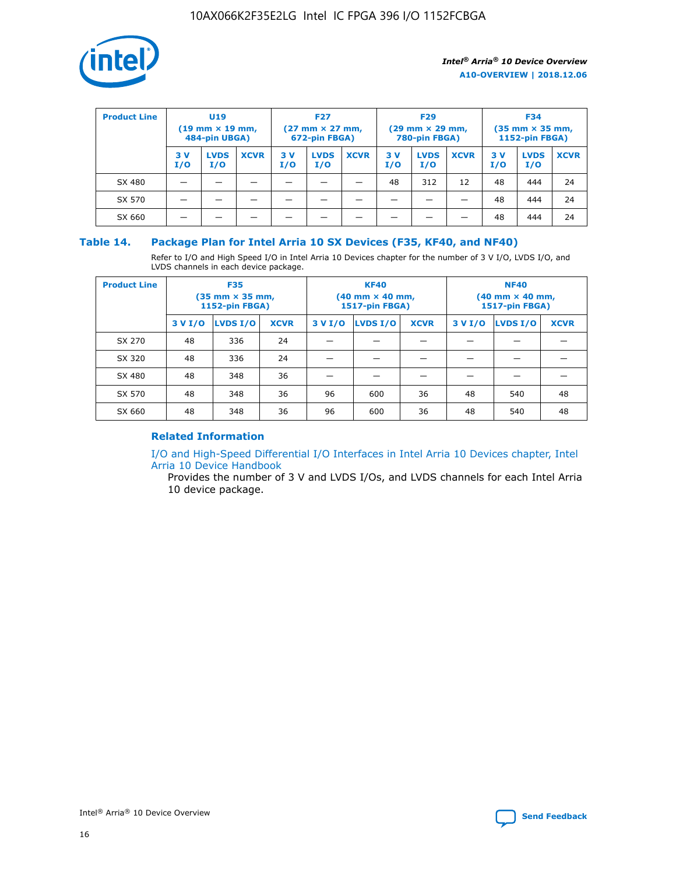

| <b>Product Line</b> | U <sub>19</sub><br>$(19 \text{ mm} \times 19 \text{ mm})$<br>484-pin UBGA) |                    | <b>F27</b><br>$(27 \text{ mm} \times 27 \text{ mm})$<br>672-pin FBGA) |            | <b>F29</b><br>$(29 \text{ mm} \times 29 \text{ mm})$<br>780-pin FBGA) |             |           | <b>F34</b><br>$(35$ mm $\times$ 35 mm,<br><b>1152-pin FBGA)</b> |             |           |                    |             |
|---------------------|----------------------------------------------------------------------------|--------------------|-----------------------------------------------------------------------|------------|-----------------------------------------------------------------------|-------------|-----------|-----------------------------------------------------------------|-------------|-----------|--------------------|-------------|
|                     | 3V<br>I/O                                                                  | <b>LVDS</b><br>I/O | <b>XCVR</b>                                                           | 3 V<br>I/O | <b>LVDS</b><br>I/O                                                    | <b>XCVR</b> | 3V<br>I/O | <b>LVDS</b><br>I/O                                              | <b>XCVR</b> | 3V<br>I/O | <b>LVDS</b><br>I/O | <b>XCVR</b> |
| SX 480              |                                                                            |                    |                                                                       |            |                                                                       |             | 48        | 312                                                             | 12          | 48        | 444                | 24          |
| SX 570              |                                                                            |                    |                                                                       |            |                                                                       |             |           |                                                                 |             | 48        | 444                | 24          |
| SX 660              |                                                                            |                    |                                                                       |            |                                                                       |             |           |                                                                 |             | 48        | 444                | 24          |

## **Table 14. Package Plan for Intel Arria 10 SX Devices (F35, KF40, and NF40)**

Refer to I/O and High Speed I/O in Intel Arria 10 Devices chapter for the number of 3 V I/O, LVDS I/O, and LVDS channels in each device package.

| <b>Product Line</b> | <b>F35</b><br>(35 mm × 35 mm,<br><b>1152-pin FBGA)</b> |          |             |                                           | <b>KF40</b><br>(40 mm × 40 mm,<br>1517-pin FBGA) |    | <b>NF40</b><br>(40 mm × 40 mm,<br>1517-pin FBGA) |          |             |  |
|---------------------|--------------------------------------------------------|----------|-------------|-------------------------------------------|--------------------------------------------------|----|--------------------------------------------------|----------|-------------|--|
|                     | 3 V I/O                                                | LVDS I/O | <b>XCVR</b> | <b>LVDS I/O</b><br>3 V I/O<br><b>XCVR</b> |                                                  |    | 3 V I/O                                          | LVDS I/O | <b>XCVR</b> |  |
| SX 270              | 48                                                     | 336      | 24          |                                           |                                                  |    |                                                  |          |             |  |
| SX 320              | 48                                                     | 336      | 24          |                                           |                                                  |    |                                                  |          |             |  |
| SX 480              | 48                                                     | 348      | 36          |                                           |                                                  |    |                                                  |          |             |  |
| SX 570              | 48                                                     | 348      | 36          | 96                                        | 600                                              | 36 | 48                                               | 540      | 48          |  |
| SX 660              | 48                                                     | 348      | 36          | 96                                        | 600                                              | 36 | 48                                               | 540      | 48          |  |

## **Related Information**

[I/O and High-Speed Differential I/O Interfaces in Intel Arria 10 Devices chapter, Intel](https://www.intel.com/content/www/us/en/programmable/documentation/sam1403482614086.html#sam1403482030321) [Arria 10 Device Handbook](https://www.intel.com/content/www/us/en/programmable/documentation/sam1403482614086.html#sam1403482030321)

Provides the number of 3 V and LVDS I/Os, and LVDS channels for each Intel Arria 10 device package.

Intel<sup>®</sup> Arria<sup>®</sup> 10 Device Overview **[Send Feedback](mailto:FPGAtechdocfeedback@intel.com?subject=Feedback%20on%20Intel%20Arria%2010%20Device%20Overview%20(A10-OVERVIEW%202018.12.06)&body=We%20appreciate%20your%20feedback.%20In%20your%20comments,%20also%20specify%20the%20page%20number%20or%20paragraph.%20Thank%20you.)** Send Feedback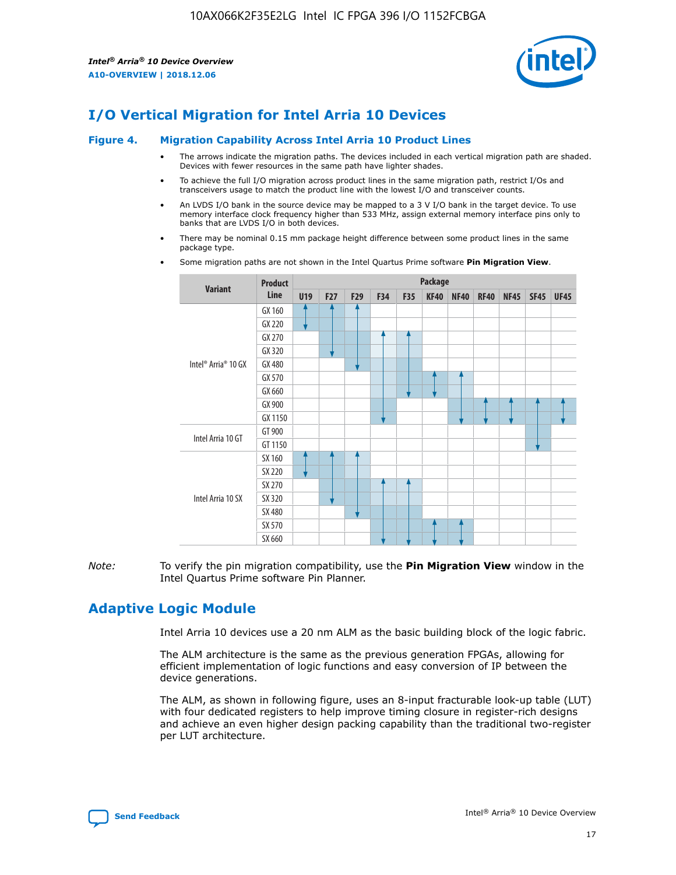

## **I/O Vertical Migration for Intel Arria 10 Devices**

#### **Figure 4. Migration Capability Across Intel Arria 10 Product Lines**

- The arrows indicate the migration paths. The devices included in each vertical migration path are shaded. Devices with fewer resources in the same path have lighter shades.
- To achieve the full I/O migration across product lines in the same migration path, restrict I/Os and transceivers usage to match the product line with the lowest I/O and transceiver counts.
- An LVDS I/O bank in the source device may be mapped to a 3 V I/O bank in the target device. To use memory interface clock frequency higher than 533 MHz, assign external memory interface pins only to banks that are LVDS I/O in both devices.
- There may be nominal 0.15 mm package height difference between some product lines in the same package type.
	- **Variant Product Line Package U19 F27 F29 F34 F35 KF40 NF40 RF40 NF45 SF45 UF45** Intel® Arria® 10 GX GX 160 GX 220 GX 270 GX 320 GX 480 GX 570 GX 660 GX 900 GX 1150 Intel Arria 10 GT GT 900 GT 1150 Intel Arria 10 SX SX 160 SX 220 SX 270 SX 320 SX 480 SX 570 SX 660
- Some migration paths are not shown in the Intel Quartus Prime software **Pin Migration View**.

*Note:* To verify the pin migration compatibility, use the **Pin Migration View** window in the Intel Quartus Prime software Pin Planner.

## **Adaptive Logic Module**

Intel Arria 10 devices use a 20 nm ALM as the basic building block of the logic fabric.

The ALM architecture is the same as the previous generation FPGAs, allowing for efficient implementation of logic functions and easy conversion of IP between the device generations.

The ALM, as shown in following figure, uses an 8-input fracturable look-up table (LUT) with four dedicated registers to help improve timing closure in register-rich designs and achieve an even higher design packing capability than the traditional two-register per LUT architecture.

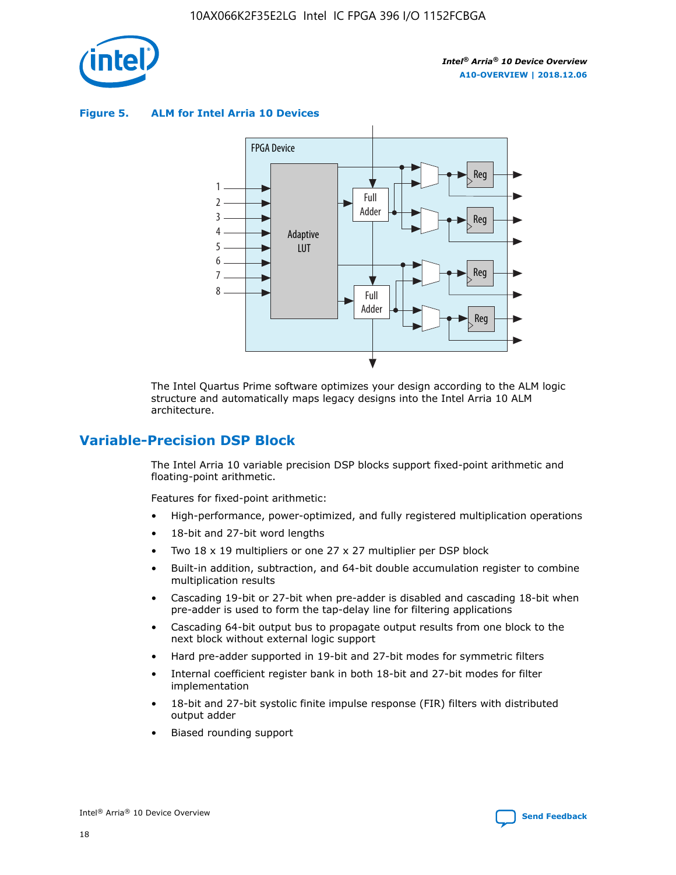

**Figure 5. ALM for Intel Arria 10 Devices**



The Intel Quartus Prime software optimizes your design according to the ALM logic structure and automatically maps legacy designs into the Intel Arria 10 ALM architecture.

## **Variable-Precision DSP Block**

The Intel Arria 10 variable precision DSP blocks support fixed-point arithmetic and floating-point arithmetic.

Features for fixed-point arithmetic:

- High-performance, power-optimized, and fully registered multiplication operations
- 18-bit and 27-bit word lengths
- Two 18 x 19 multipliers or one 27 x 27 multiplier per DSP block
- Built-in addition, subtraction, and 64-bit double accumulation register to combine multiplication results
- Cascading 19-bit or 27-bit when pre-adder is disabled and cascading 18-bit when pre-adder is used to form the tap-delay line for filtering applications
- Cascading 64-bit output bus to propagate output results from one block to the next block without external logic support
- Hard pre-adder supported in 19-bit and 27-bit modes for symmetric filters
- Internal coefficient register bank in both 18-bit and 27-bit modes for filter implementation
- 18-bit and 27-bit systolic finite impulse response (FIR) filters with distributed output adder
- Biased rounding support

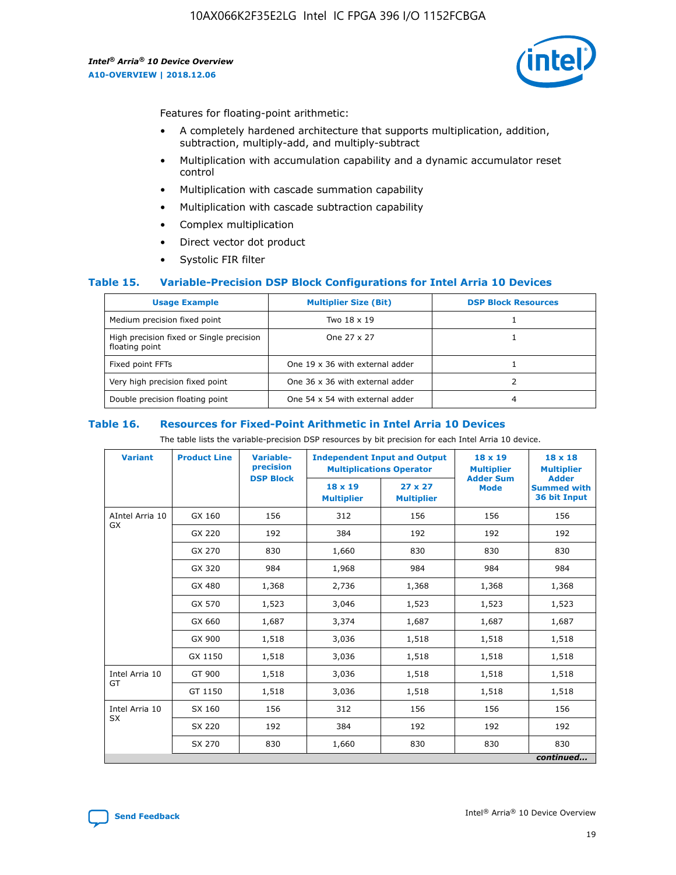

Features for floating-point arithmetic:

- A completely hardened architecture that supports multiplication, addition, subtraction, multiply-add, and multiply-subtract
- Multiplication with accumulation capability and a dynamic accumulator reset control
- Multiplication with cascade summation capability
- Multiplication with cascade subtraction capability
- Complex multiplication
- Direct vector dot product
- Systolic FIR filter

## **Table 15. Variable-Precision DSP Block Configurations for Intel Arria 10 Devices**

| <b>Usage Example</b>                                       | <b>Multiplier Size (Bit)</b>    | <b>DSP Block Resources</b> |
|------------------------------------------------------------|---------------------------------|----------------------------|
| Medium precision fixed point                               | Two 18 x 19                     |                            |
| High precision fixed or Single precision<br>floating point | One 27 x 27                     |                            |
| Fixed point FFTs                                           | One 19 x 36 with external adder |                            |
| Very high precision fixed point                            | One 36 x 36 with external adder |                            |
| Double precision floating point                            | One 54 x 54 with external adder | 4                          |

#### **Table 16. Resources for Fixed-Point Arithmetic in Intel Arria 10 Devices**

The table lists the variable-precision DSP resources by bit precision for each Intel Arria 10 device.

| <b>Variant</b>  | <b>Product Line</b> | <b>Variable-</b><br>precision<br><b>DSP Block</b> | <b>Independent Input and Output</b><br><b>Multiplications Operator</b> |                                     | 18 x 19<br><b>Multiplier</b><br><b>Adder Sum</b> | $18 \times 18$<br><b>Multiplier</b><br><b>Adder</b> |
|-----------------|---------------------|---------------------------------------------------|------------------------------------------------------------------------|-------------------------------------|--------------------------------------------------|-----------------------------------------------------|
|                 |                     |                                                   | 18 x 19<br><b>Multiplier</b>                                           | $27 \times 27$<br><b>Multiplier</b> | <b>Mode</b>                                      | <b>Summed with</b><br>36 bit Input                  |
| AIntel Arria 10 | GX 160              | 156                                               | 312                                                                    | 156                                 | 156                                              | 156                                                 |
| GX              | GX 220              | 192                                               | 384                                                                    | 192                                 | 192                                              | 192                                                 |
|                 | GX 270              | 830                                               | 1,660                                                                  | 830                                 | 830                                              | 830                                                 |
|                 | GX 320              | 984                                               | 1,968                                                                  | 984                                 | 984                                              | 984                                                 |
|                 | GX 480              | 1,368                                             | 2,736                                                                  | 1,368                               | 1,368                                            | 1,368                                               |
|                 | GX 570              | 1,523                                             | 3,046                                                                  | 1,523                               | 1,523                                            | 1,523                                               |
|                 | GX 660              | 1,687                                             | 3,374                                                                  | 1,687                               | 1,687                                            | 1,687                                               |
|                 | GX 900              | 1,518                                             | 3,036                                                                  | 1,518                               | 1,518                                            | 1,518                                               |
|                 | GX 1150             | 1,518                                             | 3,036                                                                  | 1,518                               | 1,518                                            | 1,518                                               |
| Intel Arria 10  | GT 900              | 1,518                                             | 3,036                                                                  | 1,518                               | 1,518                                            | 1,518                                               |
| GT              | GT 1150             | 1,518                                             | 3,036                                                                  | 1,518                               | 1,518                                            | 1,518                                               |
| Intel Arria 10  | SX 160              | 156                                               | 312                                                                    | 156                                 | 156                                              | 156                                                 |
| <b>SX</b>       | SX 220<br>192       |                                                   | 384                                                                    | 192                                 | 192                                              | 192                                                 |
|                 | SX 270              | 830                                               | 1,660                                                                  | 830                                 | 830                                              | 830                                                 |
|                 |                     |                                                   |                                                                        |                                     |                                                  | continued                                           |

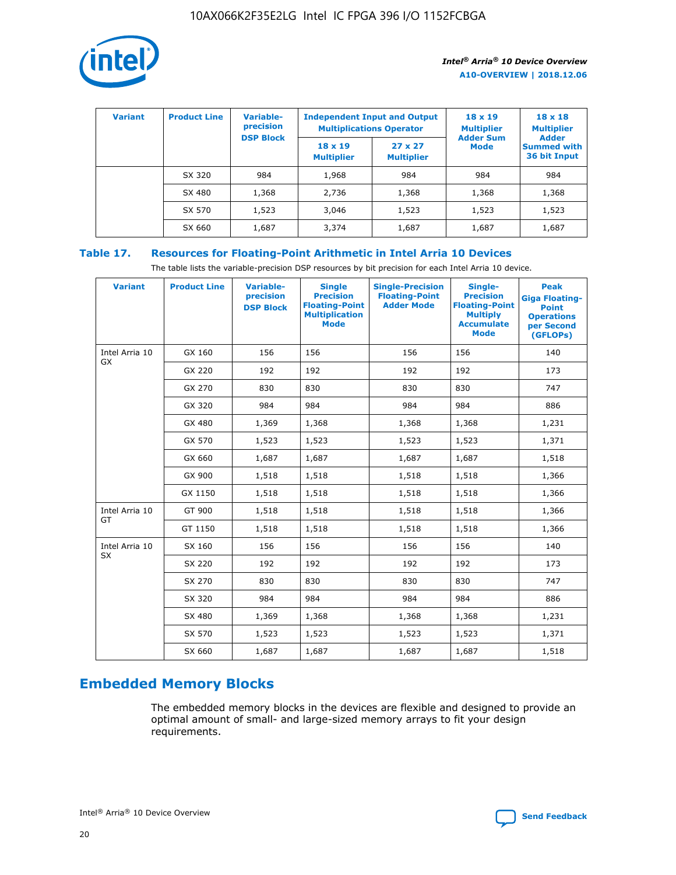

| <b>Variant</b> | <b>Product Line</b> | Variable-<br>precision | <b>Independent Input and Output</b><br><b>Multiplications Operator</b> |                                     | $18 \times 19$<br><b>Multiplier</b> | $18 \times 18$<br><b>Multiplier</b><br><b>Adder</b> |  |
|----------------|---------------------|------------------------|------------------------------------------------------------------------|-------------------------------------|-------------------------------------|-----------------------------------------------------|--|
|                |                     | <b>DSP Block</b>       | $18 \times 19$<br><b>Multiplier</b>                                    | $27 \times 27$<br><b>Multiplier</b> | <b>Adder Sum</b><br><b>Mode</b>     | <b>Summed with</b><br>36 bit Input                  |  |
|                | SX 320              | 984                    | 1,968                                                                  | 984                                 | 984                                 | 984                                                 |  |
|                | SX 480              | 1,368                  | 2,736                                                                  | 1,368                               | 1,368                               | 1,368                                               |  |
|                | SX 570              | 1,523                  | 3,046                                                                  | 1,523                               | 1,523                               | 1,523                                               |  |
|                | SX 660              | 1,687                  | 3,374                                                                  | 1,687                               | 1,687                               | 1,687                                               |  |

## **Table 17. Resources for Floating-Point Arithmetic in Intel Arria 10 Devices**

The table lists the variable-precision DSP resources by bit precision for each Intel Arria 10 device.

| <b>Variant</b> | <b>Product Line</b> | <b>Variable-</b><br>precision<br><b>DSP Block</b> | <b>Single</b><br><b>Precision</b><br><b>Floating-Point</b><br><b>Multiplication</b><br><b>Mode</b> | <b>Single-Precision</b><br><b>Floating-Point</b><br><b>Adder Mode</b> | Single-<br><b>Precision</b><br><b>Floating-Point</b><br><b>Multiply</b><br><b>Accumulate</b><br><b>Mode</b> | <b>Peak</b><br><b>Giga Floating-</b><br><b>Point</b><br><b>Operations</b><br>per Second<br>(GFLOPs) |
|----------------|---------------------|---------------------------------------------------|----------------------------------------------------------------------------------------------------|-----------------------------------------------------------------------|-------------------------------------------------------------------------------------------------------------|-----------------------------------------------------------------------------------------------------|
| Intel Arria 10 | GX 160              | 156                                               | 156                                                                                                | 156                                                                   | 156                                                                                                         | 140                                                                                                 |
| GX             | GX 220              | 192                                               | 192                                                                                                | 192                                                                   | 192                                                                                                         | 173                                                                                                 |
|                | GX 270              | 830                                               | 830                                                                                                | 830                                                                   | 830                                                                                                         | 747                                                                                                 |
|                | GX 320              | 984                                               | 984                                                                                                | 984                                                                   | 984                                                                                                         | 886                                                                                                 |
|                | GX 480              | 1,369                                             | 1,368                                                                                              | 1,368                                                                 | 1,368                                                                                                       | 1,231                                                                                               |
|                | GX 570              | 1,523                                             | 1,523                                                                                              | 1,523                                                                 | 1,523                                                                                                       | 1,371                                                                                               |
|                | GX 660              | 1,687                                             | 1,687                                                                                              | 1,687                                                                 | 1,687                                                                                                       | 1,518                                                                                               |
|                | GX 900              | 1,518                                             | 1,518                                                                                              | 1,518                                                                 | 1,518                                                                                                       | 1,366                                                                                               |
|                | GX 1150             | 1,518                                             | 1,518                                                                                              | 1,518                                                                 | 1,518                                                                                                       | 1,366                                                                                               |
| Intel Arria 10 | GT 900              | 1,518                                             | 1,518                                                                                              | 1,518                                                                 | 1,518                                                                                                       | 1,366                                                                                               |
| GT             | GT 1150             | 1,518                                             | 1,518                                                                                              | 1,518                                                                 | 1,518                                                                                                       | 1,366                                                                                               |
| Intel Arria 10 | SX 160              | 156                                               | 156                                                                                                | 156                                                                   | 156                                                                                                         | 140                                                                                                 |
| <b>SX</b>      | SX 220              | 192                                               | 192                                                                                                | 192                                                                   | 192                                                                                                         | 173                                                                                                 |
|                | SX 270              | 830                                               | 830                                                                                                | 830                                                                   | 830                                                                                                         | 747                                                                                                 |
|                | SX 320              | 984                                               | 984                                                                                                | 984                                                                   | 984                                                                                                         | 886                                                                                                 |
|                | SX 480              | 1,369                                             | 1,368                                                                                              | 1,368                                                                 | 1,368                                                                                                       | 1,231                                                                                               |
|                | SX 570              | 1,523                                             | 1,523                                                                                              | 1,523                                                                 | 1,523                                                                                                       | 1,371                                                                                               |
|                | SX 660              | 1,687                                             | 1,687                                                                                              | 1,687                                                                 | 1,687                                                                                                       | 1,518                                                                                               |

# **Embedded Memory Blocks**

The embedded memory blocks in the devices are flexible and designed to provide an optimal amount of small- and large-sized memory arrays to fit your design requirements.

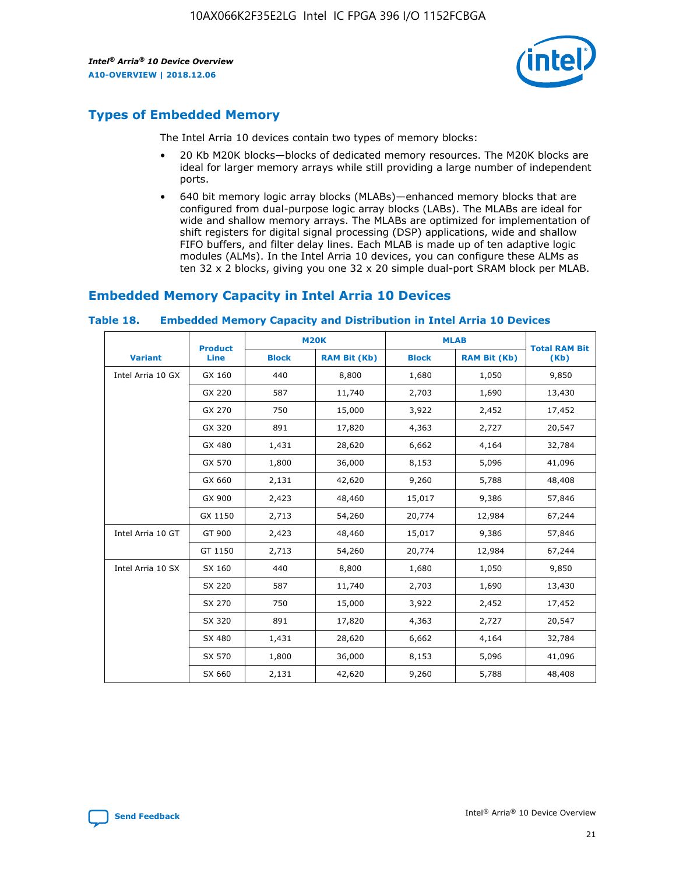

## **Types of Embedded Memory**

The Intel Arria 10 devices contain two types of memory blocks:

- 20 Kb M20K blocks—blocks of dedicated memory resources. The M20K blocks are ideal for larger memory arrays while still providing a large number of independent ports.
- 640 bit memory logic array blocks (MLABs)—enhanced memory blocks that are configured from dual-purpose logic array blocks (LABs). The MLABs are ideal for wide and shallow memory arrays. The MLABs are optimized for implementation of shift registers for digital signal processing (DSP) applications, wide and shallow FIFO buffers, and filter delay lines. Each MLAB is made up of ten adaptive logic modules (ALMs). In the Intel Arria 10 devices, you can configure these ALMs as ten 32 x 2 blocks, giving you one 32 x 20 simple dual-port SRAM block per MLAB.

## **Embedded Memory Capacity in Intel Arria 10 Devices**

|                   | <b>Product</b> | <b>M20K</b>  |                     | <b>MLAB</b>  |                     | <b>Total RAM Bit</b> |
|-------------------|----------------|--------------|---------------------|--------------|---------------------|----------------------|
| <b>Variant</b>    | <b>Line</b>    | <b>Block</b> | <b>RAM Bit (Kb)</b> | <b>Block</b> | <b>RAM Bit (Kb)</b> | (Kb)                 |
| Intel Arria 10 GX | GX 160         | 440          | 8,800               | 1,680        | 1,050               | 9,850                |
|                   | GX 220         | 587          | 11,740              | 2,703        | 1,690               | 13,430               |
|                   | GX 270         | 750          | 15,000              | 3,922        | 2,452               | 17,452               |
|                   | GX 320         | 891          | 17,820              | 4,363        | 2,727               | 20,547               |
|                   | GX 480         | 1,431        | 28,620              | 6,662        | 4,164               | 32,784               |
|                   | GX 570         | 1,800        | 36,000              | 8,153        | 5,096               | 41,096               |
|                   | GX 660         | 2,131        | 42,620              | 9,260        | 5,788               | 48,408               |
|                   | GX 900         | 2,423        | 48,460              | 15,017       | 9,386               | 57,846               |
|                   | GX 1150        | 2,713        | 54,260              | 20,774       | 12,984              | 67,244               |
| Intel Arria 10 GT | GT 900         | 2,423        | 48,460              | 15,017       | 9,386               | 57,846               |
|                   | GT 1150        | 2,713        | 54,260              | 20,774       | 12,984              | 67,244               |
| Intel Arria 10 SX | SX 160         | 440          | 8,800               | 1,680        | 1,050               | 9,850                |
|                   | SX 220         | 587          | 11,740              | 2,703        | 1,690               | 13,430               |
|                   | SX 270         | 750          | 15,000              | 3,922        | 2,452               | 17,452               |
|                   | SX 320         | 891          | 17,820              | 4,363        | 2,727               | 20,547               |
|                   | SX 480         | 1,431        | 28,620              | 6,662        | 4,164               | 32,784               |
|                   | SX 570         | 1,800        | 36,000              | 8,153        | 5,096               | 41,096               |
|                   | SX 660         | 2,131        | 42,620              | 9,260        | 5,788               | 48,408               |

#### **Table 18. Embedded Memory Capacity and Distribution in Intel Arria 10 Devices**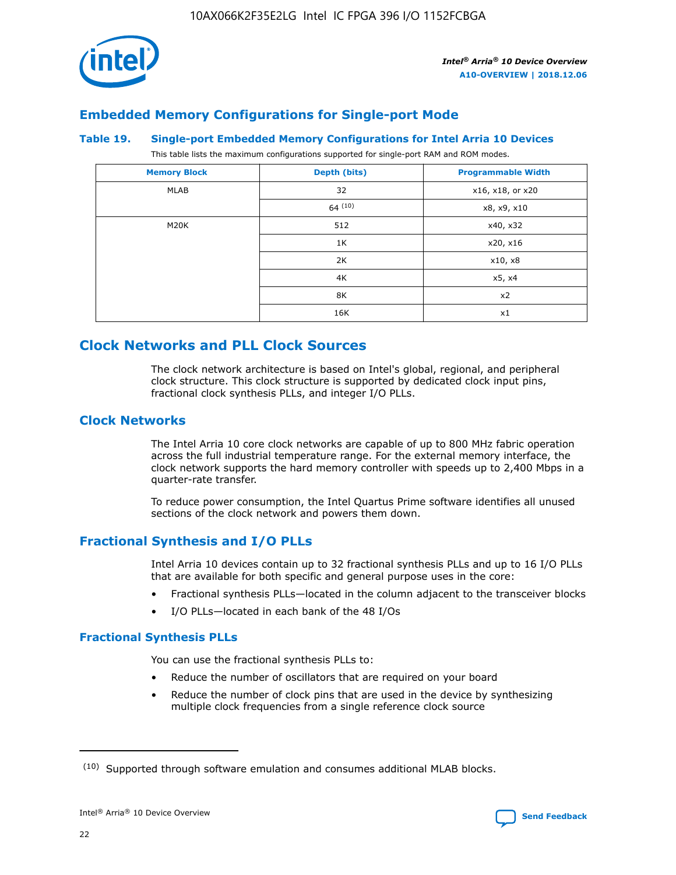

## **Embedded Memory Configurations for Single-port Mode**

### **Table 19. Single-port Embedded Memory Configurations for Intel Arria 10 Devices**

This table lists the maximum configurations supported for single-port RAM and ROM modes.

| <b>Memory Block</b> | Depth (bits) | <b>Programmable Width</b> |
|---------------------|--------------|---------------------------|
| MLAB                | 32           | x16, x18, or x20          |
|                     | 64(10)       | x8, x9, x10               |
| M20K                | 512          | x40, x32                  |
|                     | 1K           | x20, x16                  |
|                     | 2K           | x10, x8                   |
|                     | 4K           | x5, x4                    |
|                     | 8K           | x2                        |
|                     | 16K          | x1                        |

## **Clock Networks and PLL Clock Sources**

The clock network architecture is based on Intel's global, regional, and peripheral clock structure. This clock structure is supported by dedicated clock input pins, fractional clock synthesis PLLs, and integer I/O PLLs.

## **Clock Networks**

The Intel Arria 10 core clock networks are capable of up to 800 MHz fabric operation across the full industrial temperature range. For the external memory interface, the clock network supports the hard memory controller with speeds up to 2,400 Mbps in a quarter-rate transfer.

To reduce power consumption, the Intel Quartus Prime software identifies all unused sections of the clock network and powers them down.

## **Fractional Synthesis and I/O PLLs**

Intel Arria 10 devices contain up to 32 fractional synthesis PLLs and up to 16 I/O PLLs that are available for both specific and general purpose uses in the core:

- Fractional synthesis PLLs—located in the column adjacent to the transceiver blocks
- I/O PLLs—located in each bank of the 48 I/Os

## **Fractional Synthesis PLLs**

You can use the fractional synthesis PLLs to:

- Reduce the number of oscillators that are required on your board
- Reduce the number of clock pins that are used in the device by synthesizing multiple clock frequencies from a single reference clock source

<sup>(10)</sup> Supported through software emulation and consumes additional MLAB blocks.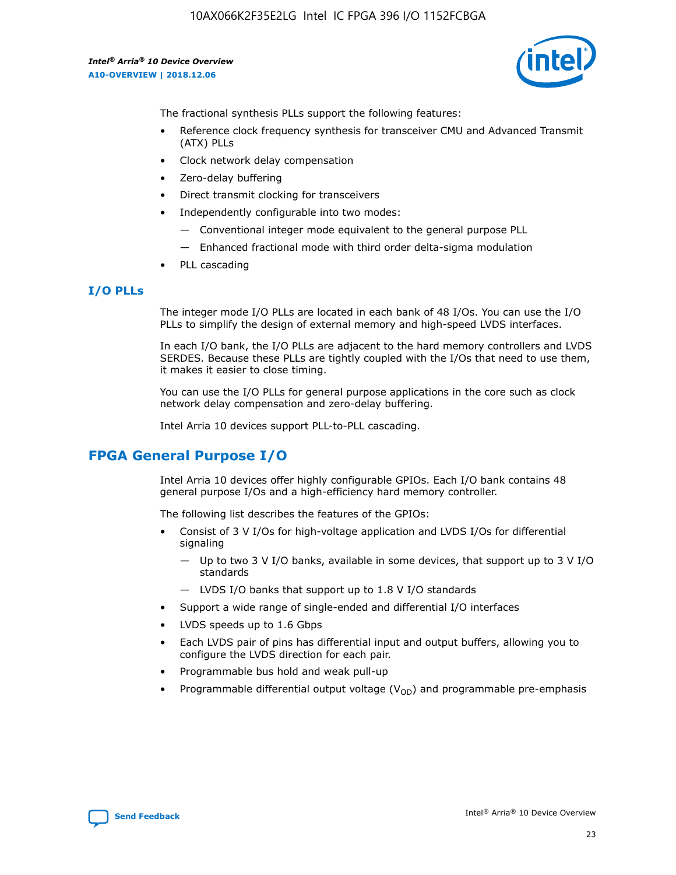

The fractional synthesis PLLs support the following features:

- Reference clock frequency synthesis for transceiver CMU and Advanced Transmit (ATX) PLLs
- Clock network delay compensation
- Zero-delay buffering
- Direct transmit clocking for transceivers
- Independently configurable into two modes:
	- Conventional integer mode equivalent to the general purpose PLL
	- Enhanced fractional mode with third order delta-sigma modulation
- PLL cascading

## **I/O PLLs**

The integer mode I/O PLLs are located in each bank of 48 I/Os. You can use the I/O PLLs to simplify the design of external memory and high-speed LVDS interfaces.

In each I/O bank, the I/O PLLs are adjacent to the hard memory controllers and LVDS SERDES. Because these PLLs are tightly coupled with the I/Os that need to use them, it makes it easier to close timing.

You can use the I/O PLLs for general purpose applications in the core such as clock network delay compensation and zero-delay buffering.

Intel Arria 10 devices support PLL-to-PLL cascading.

## **FPGA General Purpose I/O**

Intel Arria 10 devices offer highly configurable GPIOs. Each I/O bank contains 48 general purpose I/Os and a high-efficiency hard memory controller.

The following list describes the features of the GPIOs:

- Consist of 3 V I/Os for high-voltage application and LVDS I/Os for differential signaling
	- Up to two 3 V I/O banks, available in some devices, that support up to 3 V I/O standards
	- LVDS I/O banks that support up to 1.8 V I/O standards
- Support a wide range of single-ended and differential I/O interfaces
- LVDS speeds up to 1.6 Gbps
- Each LVDS pair of pins has differential input and output buffers, allowing you to configure the LVDS direction for each pair.
- Programmable bus hold and weak pull-up
- Programmable differential output voltage  $(V_{OD})$  and programmable pre-emphasis

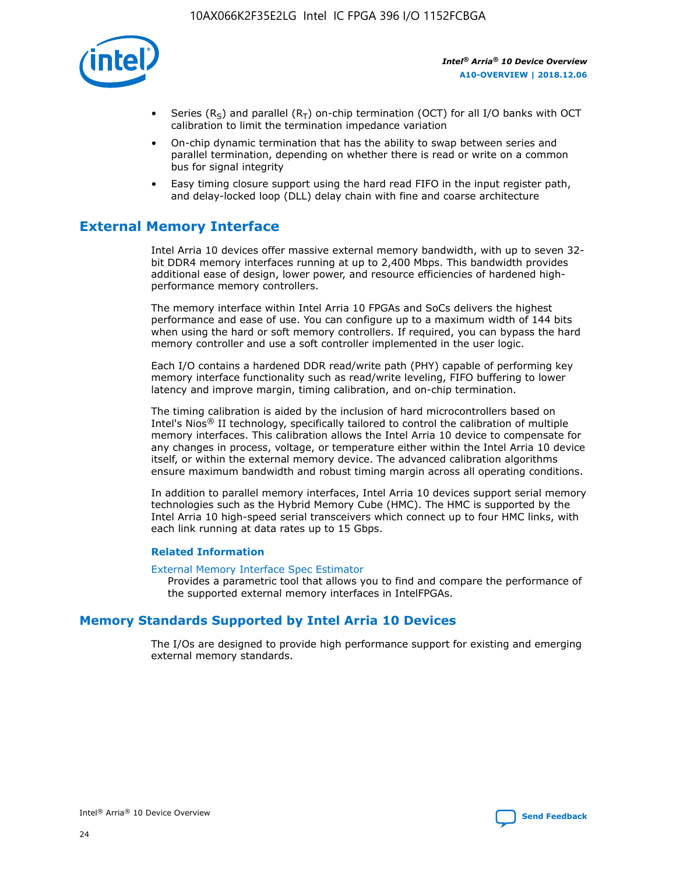

- Series (R<sub>S</sub>) and parallel (R<sub>T</sub>) on-chip termination (OCT) for all I/O banks with OCT calibration to limit the termination impedance variation
- On-chip dynamic termination that has the ability to swap between series and parallel termination, depending on whether there is read or write on a common bus for signal integrity
- Easy timing closure support using the hard read FIFO in the input register path, and delay-locked loop (DLL) delay chain with fine and coarse architecture

## **External Memory Interface**

Intel Arria 10 devices offer massive external memory bandwidth, with up to seven 32 bit DDR4 memory interfaces running at up to 2,400 Mbps. This bandwidth provides additional ease of design, lower power, and resource efficiencies of hardened highperformance memory controllers.

The memory interface within Intel Arria 10 FPGAs and SoCs delivers the highest performance and ease of use. You can configure up to a maximum width of 144 bits when using the hard or soft memory controllers. If required, you can bypass the hard memory controller and use a soft controller implemented in the user logic.

Each I/O contains a hardened DDR read/write path (PHY) capable of performing key memory interface functionality such as read/write leveling, FIFO buffering to lower latency and improve margin, timing calibration, and on-chip termination.

The timing calibration is aided by the inclusion of hard microcontrollers based on Intel's Nios® II technology, specifically tailored to control the calibration of multiple memory interfaces. This calibration allows the Intel Arria 10 device to compensate for any changes in process, voltage, or temperature either within the Intel Arria 10 device itself, or within the external memory device. The advanced calibration algorithms ensure maximum bandwidth and robust timing margin across all operating conditions.

In addition to parallel memory interfaces, Intel Arria 10 devices support serial memory technologies such as the Hybrid Memory Cube (HMC). The HMC is supported by the Intel Arria 10 high-speed serial transceivers which connect up to four HMC links, with each link running at data rates up to 15 Gbps.

## **Related Information**

#### [External Memory Interface Spec Estimator](http://www.altera.com/technology/memory/estimator/mem-emif-index.html)

Provides a parametric tool that allows you to find and compare the performance of the supported external memory interfaces in IntelFPGAs.

## **Memory Standards Supported by Intel Arria 10 Devices**

The I/Os are designed to provide high performance support for existing and emerging external memory standards.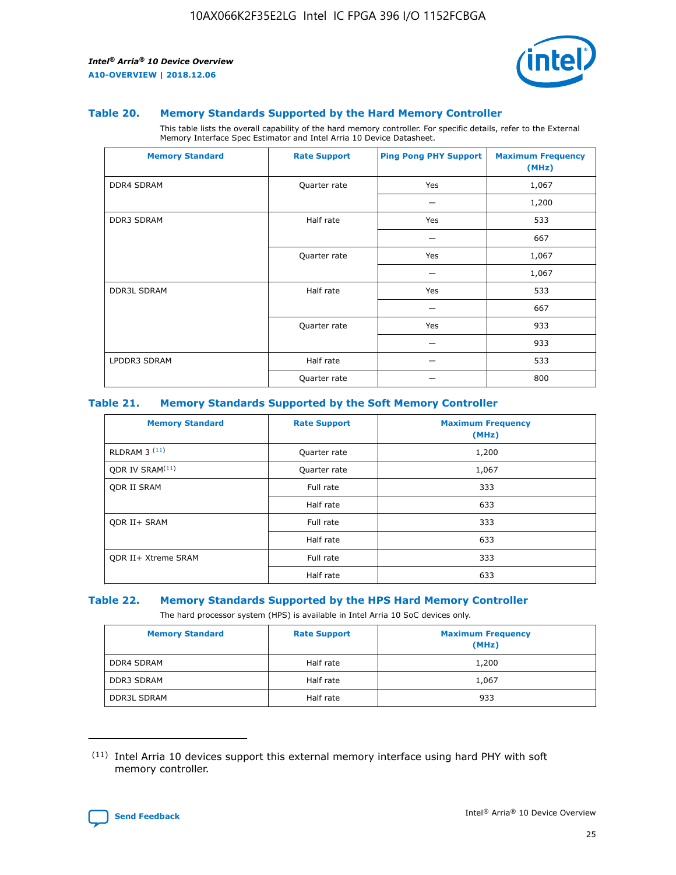

### **Table 20. Memory Standards Supported by the Hard Memory Controller**

This table lists the overall capability of the hard memory controller. For specific details, refer to the External Memory Interface Spec Estimator and Intel Arria 10 Device Datasheet.

| <b>Memory Standard</b> | <b>Rate Support</b> | <b>Ping Pong PHY Support</b> | <b>Maximum Frequency</b><br>(MHz) |
|------------------------|---------------------|------------------------------|-----------------------------------|
| <b>DDR4 SDRAM</b>      | Quarter rate        | Yes                          | 1,067                             |
|                        |                     |                              | 1,200                             |
| DDR3 SDRAM             | Half rate           | Yes                          | 533                               |
|                        |                     |                              | 667                               |
|                        | Quarter rate        | Yes                          | 1,067                             |
|                        |                     |                              | 1,067                             |
| <b>DDR3L SDRAM</b>     | Half rate           | Yes                          | 533                               |
|                        |                     |                              | 667                               |
|                        | Quarter rate        | Yes                          | 933                               |
|                        |                     |                              | 933                               |
| LPDDR3 SDRAM           | Half rate           |                              | 533                               |
|                        | Quarter rate        |                              | 800                               |

## **Table 21. Memory Standards Supported by the Soft Memory Controller**

| <b>Memory Standard</b>      | <b>Rate Support</b> | <b>Maximum Frequency</b><br>(MHz) |
|-----------------------------|---------------------|-----------------------------------|
| <b>RLDRAM 3 (11)</b>        | Quarter rate        | 1,200                             |
| ODR IV SRAM <sup>(11)</sup> | Quarter rate        | 1,067                             |
| <b>ODR II SRAM</b>          | Full rate           | 333                               |
|                             | Half rate           | 633                               |
| <b>ODR II+ SRAM</b>         | Full rate           | 333                               |
|                             | Half rate           | 633                               |
| <b>ODR II+ Xtreme SRAM</b>  | Full rate           | 333                               |
|                             | Half rate           | 633                               |

#### **Table 22. Memory Standards Supported by the HPS Hard Memory Controller**

The hard processor system (HPS) is available in Intel Arria 10 SoC devices only.

| <b>Memory Standard</b> | <b>Rate Support</b> | <b>Maximum Frequency</b><br>(MHz) |
|------------------------|---------------------|-----------------------------------|
| <b>DDR4 SDRAM</b>      | Half rate           | 1,200                             |
| <b>DDR3 SDRAM</b>      | Half rate           | 1,067                             |
| <b>DDR3L SDRAM</b>     | Half rate           | 933                               |

<sup>(11)</sup> Intel Arria 10 devices support this external memory interface using hard PHY with soft memory controller.

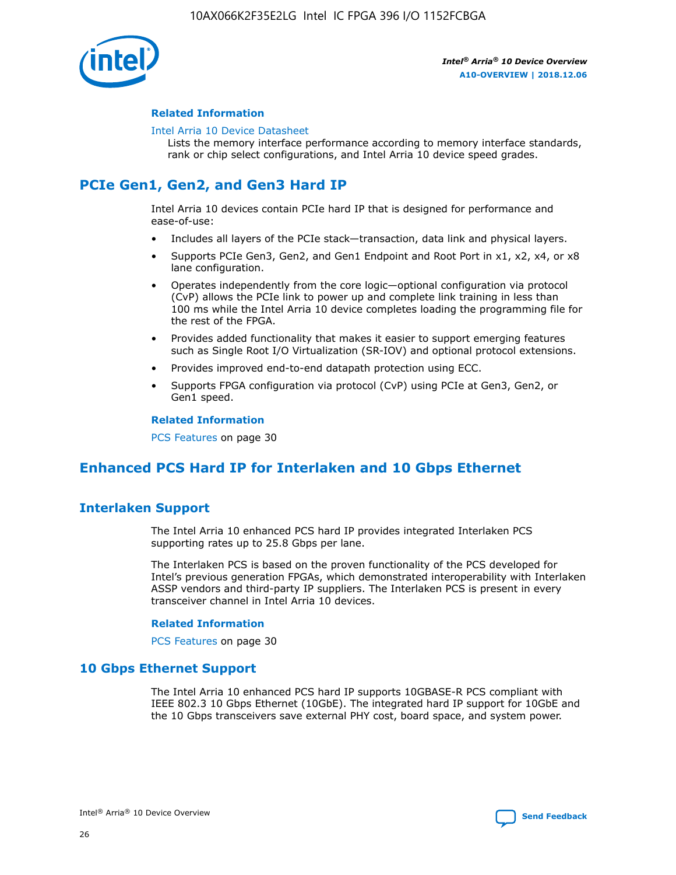

## **Related Information**

#### [Intel Arria 10 Device Datasheet](https://www.intel.com/content/www/us/en/programmable/documentation/mcn1413182292568.html#mcn1413182153340)

Lists the memory interface performance according to memory interface standards, rank or chip select configurations, and Intel Arria 10 device speed grades.

## **PCIe Gen1, Gen2, and Gen3 Hard IP**

Intel Arria 10 devices contain PCIe hard IP that is designed for performance and ease-of-use:

- Includes all layers of the PCIe stack—transaction, data link and physical layers.
- Supports PCIe Gen3, Gen2, and Gen1 Endpoint and Root Port in x1, x2, x4, or x8 lane configuration.
- Operates independently from the core logic—optional configuration via protocol (CvP) allows the PCIe link to power up and complete link training in less than 100 ms while the Intel Arria 10 device completes loading the programming file for the rest of the FPGA.
- Provides added functionality that makes it easier to support emerging features such as Single Root I/O Virtualization (SR-IOV) and optional protocol extensions.
- Provides improved end-to-end datapath protection using ECC.
- Supports FPGA configuration via protocol (CvP) using PCIe at Gen3, Gen2, or Gen1 speed.

#### **Related Information**

PCS Features on page 30

## **Enhanced PCS Hard IP for Interlaken and 10 Gbps Ethernet**

## **Interlaken Support**

The Intel Arria 10 enhanced PCS hard IP provides integrated Interlaken PCS supporting rates up to 25.8 Gbps per lane.

The Interlaken PCS is based on the proven functionality of the PCS developed for Intel's previous generation FPGAs, which demonstrated interoperability with Interlaken ASSP vendors and third-party IP suppliers. The Interlaken PCS is present in every transceiver channel in Intel Arria 10 devices.

## **Related Information**

PCS Features on page 30

## **10 Gbps Ethernet Support**

The Intel Arria 10 enhanced PCS hard IP supports 10GBASE-R PCS compliant with IEEE 802.3 10 Gbps Ethernet (10GbE). The integrated hard IP support for 10GbE and the 10 Gbps transceivers save external PHY cost, board space, and system power.

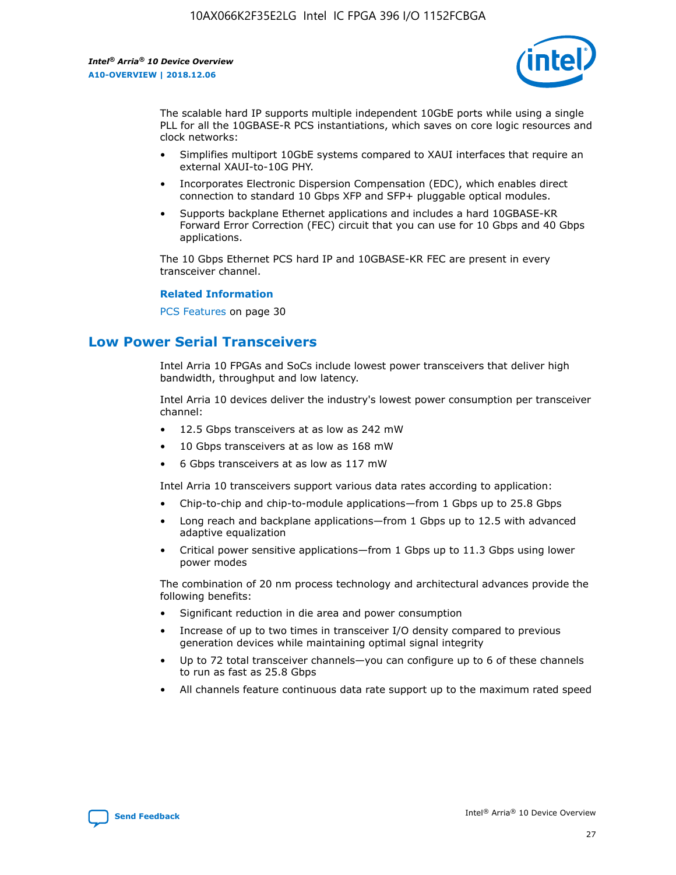

The scalable hard IP supports multiple independent 10GbE ports while using a single PLL for all the 10GBASE-R PCS instantiations, which saves on core logic resources and clock networks:

- Simplifies multiport 10GbE systems compared to XAUI interfaces that require an external XAUI-to-10G PHY.
- Incorporates Electronic Dispersion Compensation (EDC), which enables direct connection to standard 10 Gbps XFP and SFP+ pluggable optical modules.
- Supports backplane Ethernet applications and includes a hard 10GBASE-KR Forward Error Correction (FEC) circuit that you can use for 10 Gbps and 40 Gbps applications.

The 10 Gbps Ethernet PCS hard IP and 10GBASE-KR FEC are present in every transceiver channel.

#### **Related Information**

PCS Features on page 30

## **Low Power Serial Transceivers**

Intel Arria 10 FPGAs and SoCs include lowest power transceivers that deliver high bandwidth, throughput and low latency.

Intel Arria 10 devices deliver the industry's lowest power consumption per transceiver channel:

- 12.5 Gbps transceivers at as low as 242 mW
- 10 Gbps transceivers at as low as 168 mW
- 6 Gbps transceivers at as low as 117 mW

Intel Arria 10 transceivers support various data rates according to application:

- Chip-to-chip and chip-to-module applications—from 1 Gbps up to 25.8 Gbps
- Long reach and backplane applications—from 1 Gbps up to 12.5 with advanced adaptive equalization
- Critical power sensitive applications—from 1 Gbps up to 11.3 Gbps using lower power modes

The combination of 20 nm process technology and architectural advances provide the following benefits:

- Significant reduction in die area and power consumption
- Increase of up to two times in transceiver I/O density compared to previous generation devices while maintaining optimal signal integrity
- Up to 72 total transceiver channels—you can configure up to 6 of these channels to run as fast as 25.8 Gbps
- All channels feature continuous data rate support up to the maximum rated speed

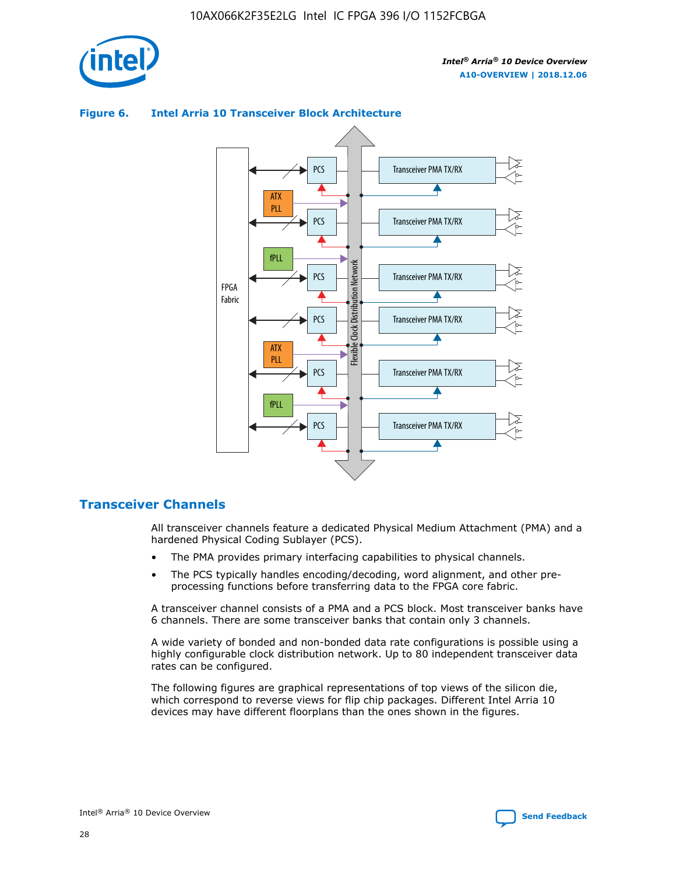



## **Figure 6. Intel Arria 10 Transceiver Block Architecture**

## **Transceiver Channels**

All transceiver channels feature a dedicated Physical Medium Attachment (PMA) and a hardened Physical Coding Sublayer (PCS).

- The PMA provides primary interfacing capabilities to physical channels.
- The PCS typically handles encoding/decoding, word alignment, and other preprocessing functions before transferring data to the FPGA core fabric.

A transceiver channel consists of a PMA and a PCS block. Most transceiver banks have 6 channels. There are some transceiver banks that contain only 3 channels.

A wide variety of bonded and non-bonded data rate configurations is possible using a highly configurable clock distribution network. Up to 80 independent transceiver data rates can be configured.

The following figures are graphical representations of top views of the silicon die, which correspond to reverse views for flip chip packages. Different Intel Arria 10 devices may have different floorplans than the ones shown in the figures.

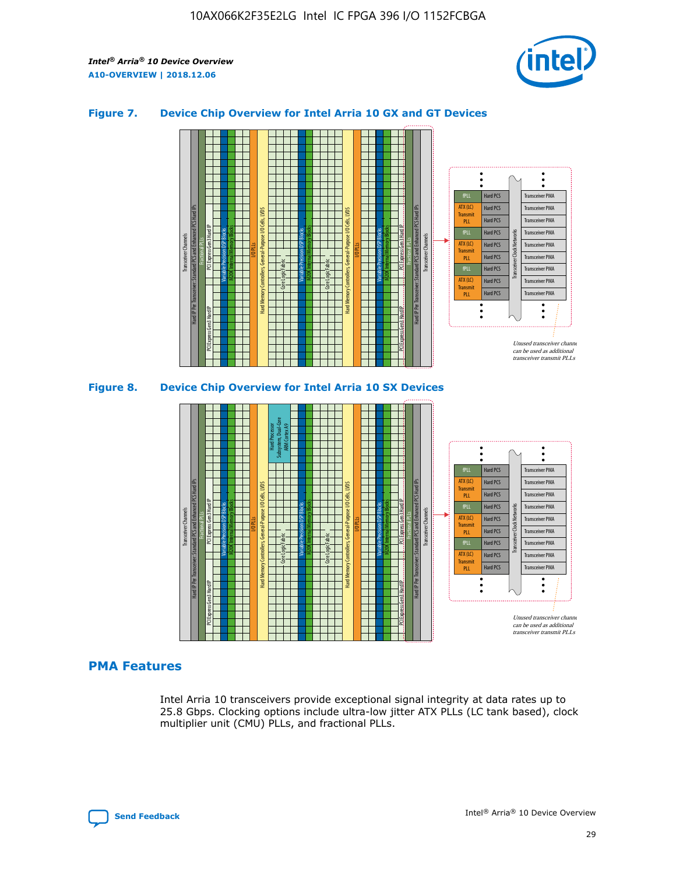

## **Figure 7. Device Chip Overview for Intel Arria 10 GX and GT Devices**





## **PMA Features**

Intel Arria 10 transceivers provide exceptional signal integrity at data rates up to 25.8 Gbps. Clocking options include ultra-low jitter ATX PLLs (LC tank based), clock multiplier unit (CMU) PLLs, and fractional PLLs.

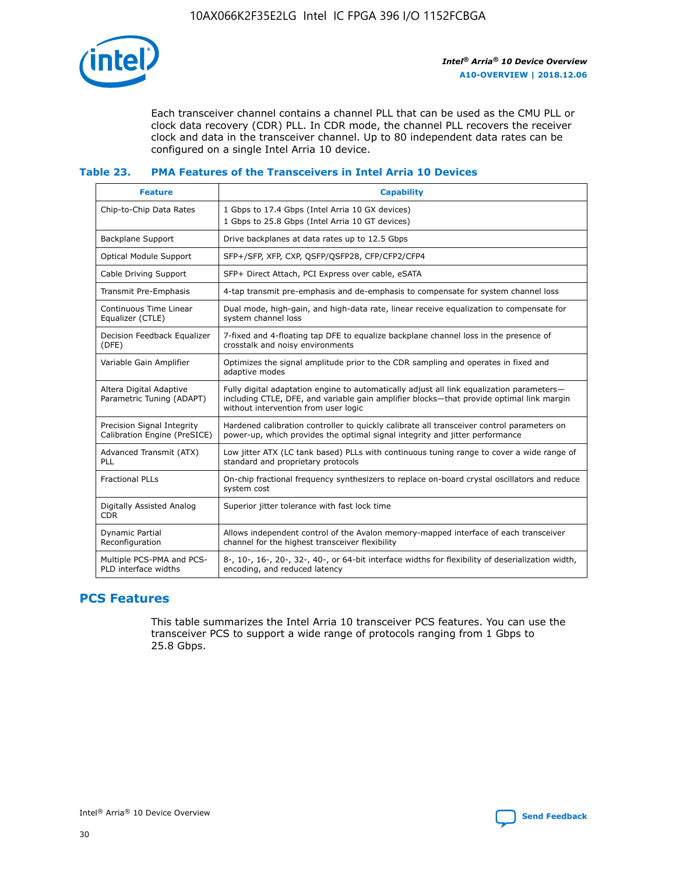

Each transceiver channel contains a channel PLL that can be used as the CMU PLL or clock data recovery (CDR) PLL. In CDR mode, the channel PLL recovers the receiver clock and data in the transceiver channel. Up to 80 independent data rates can be configured on a single Intel Arria 10 device.

## **Table 23. PMA Features of the Transceivers in Intel Arria 10 Devices**

| <b>Feature</b>                                             | <b>Capability</b>                                                                                                                                                                                                             |
|------------------------------------------------------------|-------------------------------------------------------------------------------------------------------------------------------------------------------------------------------------------------------------------------------|
| Chip-to-Chip Data Rates                                    | 1 Gbps to 17.4 Gbps (Intel Arria 10 GX devices)<br>1 Gbps to 25.8 Gbps (Intel Arria 10 GT devices)                                                                                                                            |
| <b>Backplane Support</b>                                   | Drive backplanes at data rates up to 12.5 Gbps                                                                                                                                                                                |
| <b>Optical Module Support</b>                              | SFP+/SFP, XFP, CXP, QSFP/QSFP28, CFP/CFP2/CFP4                                                                                                                                                                                |
| Cable Driving Support                                      | SFP+ Direct Attach, PCI Express over cable, eSATA                                                                                                                                                                             |
| Transmit Pre-Emphasis                                      | 4-tap transmit pre-emphasis and de-emphasis to compensate for system channel loss                                                                                                                                             |
| Continuous Time Linear<br>Equalizer (CTLE)                 | Dual mode, high-gain, and high-data rate, linear receive equalization to compensate for<br>system channel loss                                                                                                                |
| Decision Feedback Equalizer<br>(DFE)                       | 7-fixed and 4-floating tap DFE to equalize backplane channel loss in the presence of<br>crosstalk and noisy environments                                                                                                      |
| Variable Gain Amplifier                                    | Optimizes the signal amplitude prior to the CDR sampling and operates in fixed and<br>adaptive modes                                                                                                                          |
| Altera Digital Adaptive<br>Parametric Tuning (ADAPT)       | Fully digital adaptation engine to automatically adjust all link equalization parameters-<br>including CTLE, DFE, and variable gain amplifier blocks—that provide optimal link margin<br>without intervention from user logic |
| Precision Signal Integrity<br>Calibration Engine (PreSICE) | Hardened calibration controller to quickly calibrate all transceiver control parameters on<br>power-up, which provides the optimal signal integrity and jitter performance                                                    |
| Advanced Transmit (ATX)<br><b>PLL</b>                      | Low jitter ATX (LC tank based) PLLs with continuous tuning range to cover a wide range of<br>standard and proprietary protocols                                                                                               |
| <b>Fractional PLLs</b>                                     | On-chip fractional frequency synthesizers to replace on-board crystal oscillators and reduce<br>system cost                                                                                                                   |
| Digitally Assisted Analog<br><b>CDR</b>                    | Superior jitter tolerance with fast lock time                                                                                                                                                                                 |
| Dynamic Partial<br>Reconfiguration                         | Allows independent control of the Avalon memory-mapped interface of each transceiver<br>channel for the highest transceiver flexibility                                                                                       |
| Multiple PCS-PMA and PCS-<br>PLD interface widths          | 8-, 10-, 16-, 20-, 32-, 40-, or 64-bit interface widths for flexibility of deserialization width,<br>encoding, and reduced latency                                                                                            |

## **PCS Features**

This table summarizes the Intel Arria 10 transceiver PCS features. You can use the transceiver PCS to support a wide range of protocols ranging from 1 Gbps to 25.8 Gbps.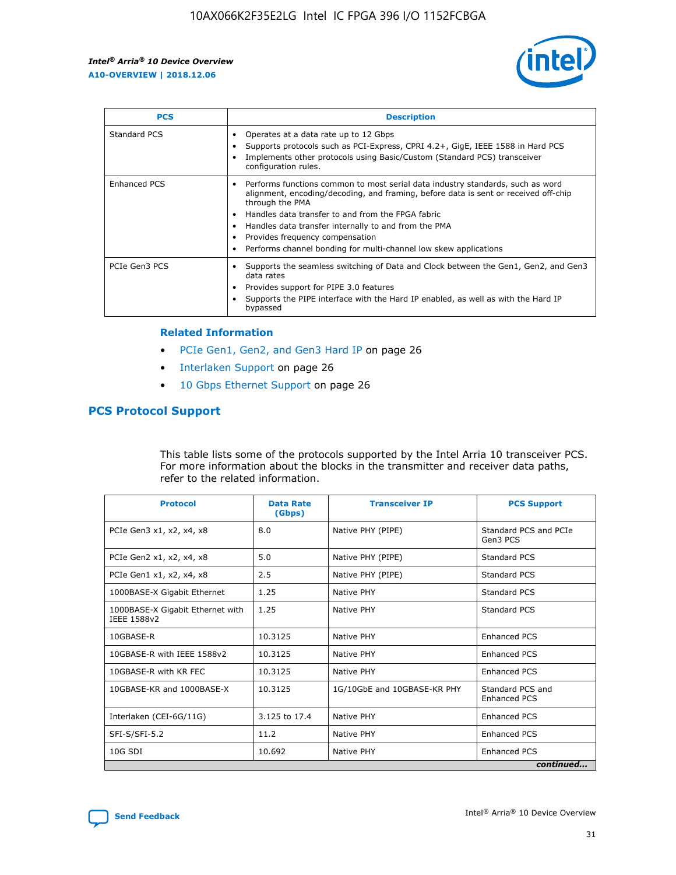

| <b>PCS</b>    | <b>Description</b>                                                                                                                                                                                                                                                                                                                                                                                             |
|---------------|----------------------------------------------------------------------------------------------------------------------------------------------------------------------------------------------------------------------------------------------------------------------------------------------------------------------------------------------------------------------------------------------------------------|
| Standard PCS  | Operates at a data rate up to 12 Gbps<br>Supports protocols such as PCI-Express, CPRI 4.2+, GigE, IEEE 1588 in Hard PCS<br>Implements other protocols using Basic/Custom (Standard PCS) transceiver<br>configuration rules.                                                                                                                                                                                    |
| Enhanced PCS  | Performs functions common to most serial data industry standards, such as word<br>alignment, encoding/decoding, and framing, before data is sent or received off-chip<br>through the PMA<br>• Handles data transfer to and from the FPGA fabric<br>Handles data transfer internally to and from the PMA<br>Provides frequency compensation<br>Performs channel bonding for multi-channel low skew applications |
| PCIe Gen3 PCS | Supports the seamless switching of Data and Clock between the Gen1, Gen2, and Gen3<br>data rates<br>Provides support for PIPE 3.0 features<br>Supports the PIPE interface with the Hard IP enabled, as well as with the Hard IP<br>bypassed                                                                                                                                                                    |

#### **Related Information**

- PCIe Gen1, Gen2, and Gen3 Hard IP on page 26
- Interlaken Support on page 26
- 10 Gbps Ethernet Support on page 26

## **PCS Protocol Support**

This table lists some of the protocols supported by the Intel Arria 10 transceiver PCS. For more information about the blocks in the transmitter and receiver data paths, refer to the related information.

| <b>Protocol</b>                                 | <b>Data Rate</b><br>(Gbps) | <b>Transceiver IP</b>       | <b>PCS Support</b>                      |
|-------------------------------------------------|----------------------------|-----------------------------|-----------------------------------------|
| PCIe Gen3 x1, x2, x4, x8                        | 8.0                        | Native PHY (PIPE)           | Standard PCS and PCIe<br>Gen3 PCS       |
| PCIe Gen2 x1, x2, x4, x8                        | 5.0                        | Native PHY (PIPE)           | <b>Standard PCS</b>                     |
| PCIe Gen1 x1, x2, x4, x8                        | 2.5                        | Native PHY (PIPE)           | Standard PCS                            |
| 1000BASE-X Gigabit Ethernet                     | 1.25                       | Native PHY                  | <b>Standard PCS</b>                     |
| 1000BASE-X Gigabit Ethernet with<br>IEEE 1588v2 | 1.25                       | Native PHY                  | Standard PCS                            |
| 10GBASE-R                                       | 10.3125                    | Native PHY                  | <b>Enhanced PCS</b>                     |
| 10GBASE-R with IEEE 1588v2                      | 10.3125                    | Native PHY                  | <b>Enhanced PCS</b>                     |
| 10GBASE-R with KR FEC                           | 10.3125                    | Native PHY                  | <b>Enhanced PCS</b>                     |
| 10GBASE-KR and 1000BASE-X                       | 10.3125                    | 1G/10GbE and 10GBASE-KR PHY | Standard PCS and<br><b>Enhanced PCS</b> |
| Interlaken (CEI-6G/11G)                         | 3.125 to 17.4              | Native PHY                  | <b>Enhanced PCS</b>                     |
| SFI-S/SFI-5.2                                   | 11.2                       | Native PHY                  | <b>Enhanced PCS</b>                     |
| $10G$ SDI                                       | 10.692                     | Native PHY                  | <b>Enhanced PCS</b>                     |
|                                                 |                            |                             | continued                               |

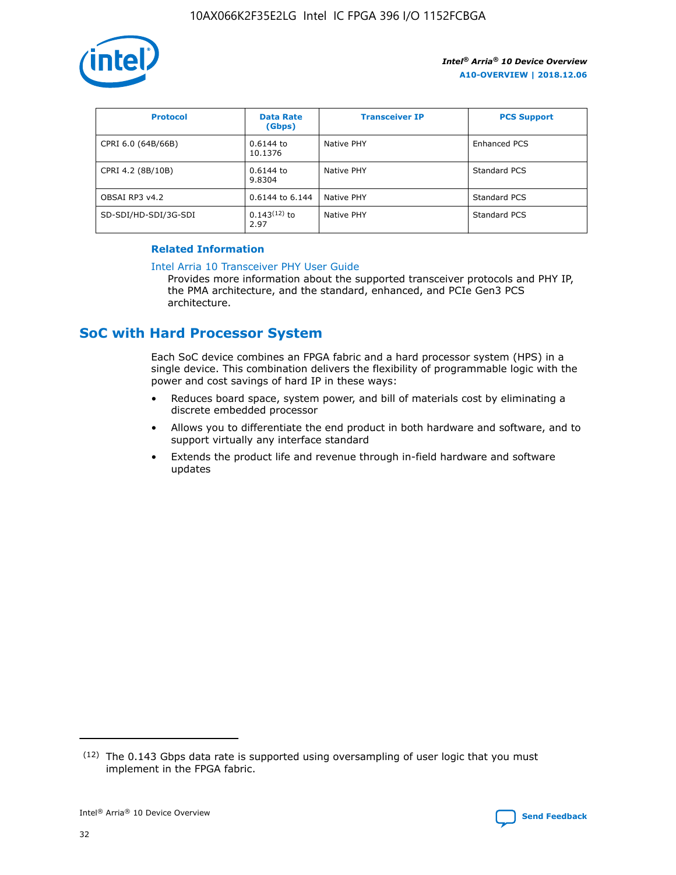

| <b>Protocol</b>      | <b>Data Rate</b><br>(Gbps) | <b>Transceiver IP</b> | <b>PCS Support</b> |
|----------------------|----------------------------|-----------------------|--------------------|
| CPRI 6.0 (64B/66B)   | 0.6144 to<br>10.1376       | Native PHY            | Enhanced PCS       |
| CPRI 4.2 (8B/10B)    | 0.6144 to<br>9.8304        | Native PHY            | Standard PCS       |
| OBSAI RP3 v4.2       | 0.6144 to 6.144            | Native PHY            | Standard PCS       |
| SD-SDI/HD-SDI/3G-SDI | $0.143(12)$ to<br>2.97     | Native PHY            | Standard PCS       |

## **Related Information**

#### [Intel Arria 10 Transceiver PHY User Guide](https://www.intel.com/content/www/us/en/programmable/documentation/nik1398707230472.html#nik1398707091164)

Provides more information about the supported transceiver protocols and PHY IP, the PMA architecture, and the standard, enhanced, and PCIe Gen3 PCS architecture.

## **SoC with Hard Processor System**

Each SoC device combines an FPGA fabric and a hard processor system (HPS) in a single device. This combination delivers the flexibility of programmable logic with the power and cost savings of hard IP in these ways:

- Reduces board space, system power, and bill of materials cost by eliminating a discrete embedded processor
- Allows you to differentiate the end product in both hardware and software, and to support virtually any interface standard
- Extends the product life and revenue through in-field hardware and software updates

 $(12)$  The 0.143 Gbps data rate is supported using oversampling of user logic that you must implement in the FPGA fabric.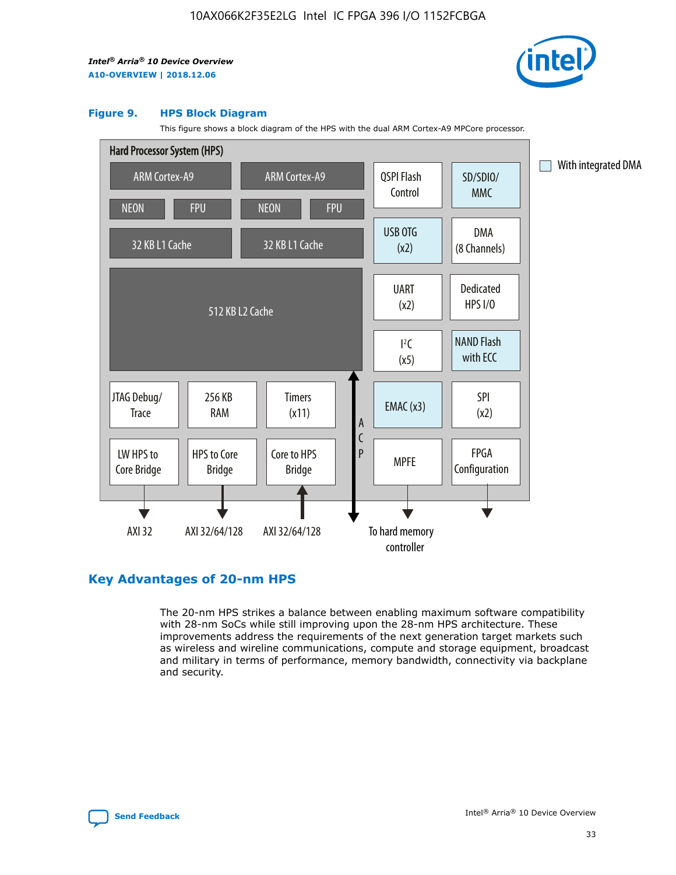

### **Figure 9. HPS Block Diagram**

This figure shows a block diagram of the HPS with the dual ARM Cortex-A9 MPCore processor.



## **Key Advantages of 20-nm HPS**

The 20-nm HPS strikes a balance between enabling maximum software compatibility with 28-nm SoCs while still improving upon the 28-nm HPS architecture. These improvements address the requirements of the next generation target markets such as wireless and wireline communications, compute and storage equipment, broadcast and military in terms of performance, memory bandwidth, connectivity via backplane and security.

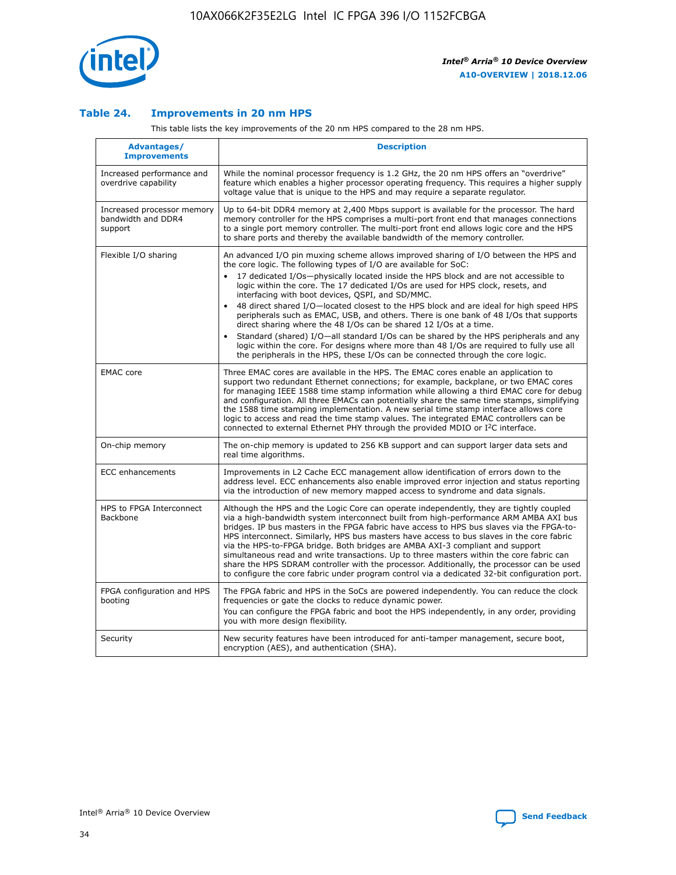

## **Table 24. Improvements in 20 nm HPS**

This table lists the key improvements of the 20 nm HPS compared to the 28 nm HPS.

| Advantages/<br><b>Improvements</b>                          | <b>Description</b>                                                                                                                                                                                                                                                                                                                                                                                                                                                                                                                                                                                                                                                                                                                                                                                                                                                                                                      |
|-------------------------------------------------------------|-------------------------------------------------------------------------------------------------------------------------------------------------------------------------------------------------------------------------------------------------------------------------------------------------------------------------------------------------------------------------------------------------------------------------------------------------------------------------------------------------------------------------------------------------------------------------------------------------------------------------------------------------------------------------------------------------------------------------------------------------------------------------------------------------------------------------------------------------------------------------------------------------------------------------|
| Increased performance and<br>overdrive capability           | While the nominal processor frequency is 1.2 GHz, the 20 nm HPS offers an "overdrive"<br>feature which enables a higher processor operating frequency. This requires a higher supply<br>voltage value that is unique to the HPS and may require a separate regulator.                                                                                                                                                                                                                                                                                                                                                                                                                                                                                                                                                                                                                                                   |
| Increased processor memory<br>bandwidth and DDR4<br>support | Up to 64-bit DDR4 memory at 2,400 Mbps support is available for the processor. The hard<br>memory controller for the HPS comprises a multi-port front end that manages connections<br>to a single port memory controller. The multi-port front end allows logic core and the HPS<br>to share ports and thereby the available bandwidth of the memory controller.                                                                                                                                                                                                                                                                                                                                                                                                                                                                                                                                                        |
| Flexible I/O sharing                                        | An advanced I/O pin muxing scheme allows improved sharing of I/O between the HPS and<br>the core logic. The following types of I/O are available for SoC:<br>17 dedicated I/Os-physically located inside the HPS block and are not accessible to<br>logic within the core. The 17 dedicated I/Os are used for HPS clock, resets, and<br>interfacing with boot devices, QSPI, and SD/MMC.<br>48 direct shared I/O-located closest to the HPS block and are ideal for high speed HPS<br>peripherals such as EMAC, USB, and others. There is one bank of 48 I/Os that supports<br>direct sharing where the 48 I/Os can be shared 12 I/Os at a time.<br>Standard (shared) I/O-all standard I/Os can be shared by the HPS peripherals and any<br>logic within the core. For designs where more than 48 I/Os are reguired to fully use all<br>the peripherals in the HPS, these I/Os can be connected through the core logic. |
| <b>EMAC</b> core                                            | Three EMAC cores are available in the HPS. The EMAC cores enable an application to<br>support two redundant Ethernet connections; for example, backplane, or two EMAC cores<br>for managing IEEE 1588 time stamp information while allowing a third EMAC core for debug<br>and configuration. All three EMACs can potentially share the same time stamps, simplifying<br>the 1588 time stamping implementation. A new serial time stamp interface allows core<br>logic to access and read the time stamp values. The integrated EMAC controllers can be<br>connected to external Ethernet PHY through the provided MDIO or I <sup>2</sup> C interface.                                                                                                                                                                                                                                                                  |
| On-chip memory                                              | The on-chip memory is updated to 256 KB support and can support larger data sets and<br>real time algorithms.                                                                                                                                                                                                                                                                                                                                                                                                                                                                                                                                                                                                                                                                                                                                                                                                           |
| <b>ECC</b> enhancements                                     | Improvements in L2 Cache ECC management allow identification of errors down to the<br>address level. ECC enhancements also enable improved error injection and status reporting<br>via the introduction of new memory mapped access to syndrome and data signals.                                                                                                                                                                                                                                                                                                                                                                                                                                                                                                                                                                                                                                                       |
| HPS to FPGA Interconnect<br>Backbone                        | Although the HPS and the Logic Core can operate independently, they are tightly coupled<br>via a high-bandwidth system interconnect built from high-performance ARM AMBA AXI bus<br>bridges. IP bus masters in the FPGA fabric have access to HPS bus slaves via the FPGA-to-<br>HPS interconnect. Similarly, HPS bus masters have access to bus slaves in the core fabric<br>via the HPS-to-FPGA bridge. Both bridges are AMBA AXI-3 compliant and support<br>simultaneous read and write transactions. Up to three masters within the core fabric can<br>share the HPS SDRAM controller with the processor. Additionally, the processor can be used<br>to configure the core fabric under program control via a dedicated 32-bit configuration port.                                                                                                                                                                  |
| FPGA configuration and HPS<br>booting                       | The FPGA fabric and HPS in the SoCs are powered independently. You can reduce the clock<br>frequencies or gate the clocks to reduce dynamic power.<br>You can configure the FPGA fabric and boot the HPS independently, in any order, providing<br>you with more design flexibility.                                                                                                                                                                                                                                                                                                                                                                                                                                                                                                                                                                                                                                    |
| Security                                                    | New security features have been introduced for anti-tamper management, secure boot,<br>encryption (AES), and authentication (SHA).                                                                                                                                                                                                                                                                                                                                                                                                                                                                                                                                                                                                                                                                                                                                                                                      |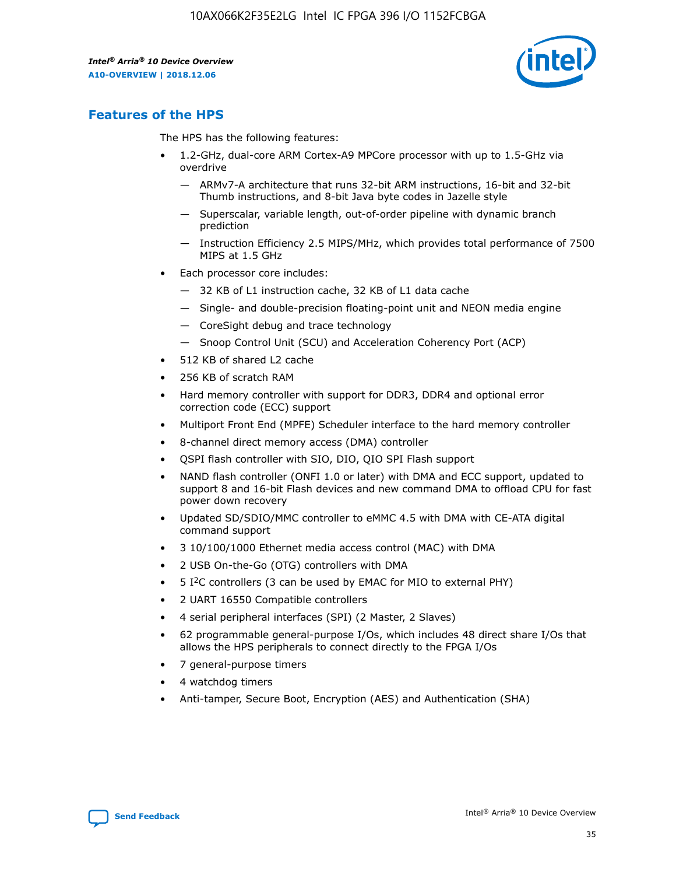

## **Features of the HPS**

The HPS has the following features:

- 1.2-GHz, dual-core ARM Cortex-A9 MPCore processor with up to 1.5-GHz via overdrive
	- ARMv7-A architecture that runs 32-bit ARM instructions, 16-bit and 32-bit Thumb instructions, and 8-bit Java byte codes in Jazelle style
	- Superscalar, variable length, out-of-order pipeline with dynamic branch prediction
	- Instruction Efficiency 2.5 MIPS/MHz, which provides total performance of 7500 MIPS at 1.5 GHz
- Each processor core includes:
	- 32 KB of L1 instruction cache, 32 KB of L1 data cache
	- Single- and double-precision floating-point unit and NEON media engine
	- CoreSight debug and trace technology
	- Snoop Control Unit (SCU) and Acceleration Coherency Port (ACP)
- 512 KB of shared L2 cache
- 256 KB of scratch RAM
- Hard memory controller with support for DDR3, DDR4 and optional error correction code (ECC) support
- Multiport Front End (MPFE) Scheduler interface to the hard memory controller
- 8-channel direct memory access (DMA) controller
- QSPI flash controller with SIO, DIO, QIO SPI Flash support
- NAND flash controller (ONFI 1.0 or later) with DMA and ECC support, updated to support 8 and 16-bit Flash devices and new command DMA to offload CPU for fast power down recovery
- Updated SD/SDIO/MMC controller to eMMC 4.5 with DMA with CE-ATA digital command support
- 3 10/100/1000 Ethernet media access control (MAC) with DMA
- 2 USB On-the-Go (OTG) controllers with DMA
- $\bullet$  5 I<sup>2</sup>C controllers (3 can be used by EMAC for MIO to external PHY)
- 2 UART 16550 Compatible controllers
- 4 serial peripheral interfaces (SPI) (2 Master, 2 Slaves)
- 62 programmable general-purpose I/Os, which includes 48 direct share I/Os that allows the HPS peripherals to connect directly to the FPGA I/Os
- 7 general-purpose timers
- 4 watchdog timers
- Anti-tamper, Secure Boot, Encryption (AES) and Authentication (SHA)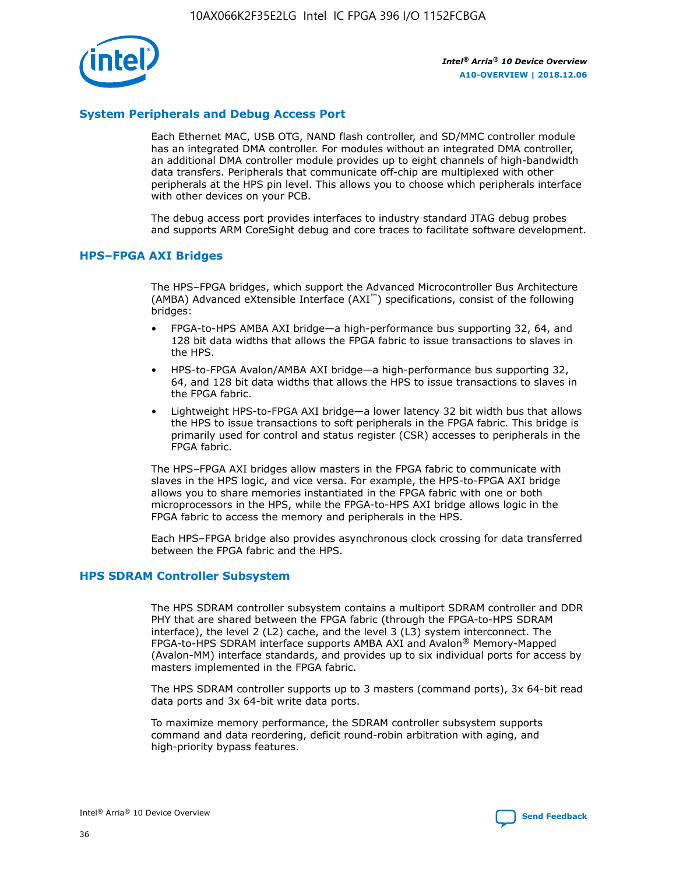

## **System Peripherals and Debug Access Port**

Each Ethernet MAC, USB OTG, NAND flash controller, and SD/MMC controller module has an integrated DMA controller. For modules without an integrated DMA controller, an additional DMA controller module provides up to eight channels of high-bandwidth data transfers. Peripherals that communicate off-chip are multiplexed with other peripherals at the HPS pin level. This allows you to choose which peripherals interface with other devices on your PCB.

The debug access port provides interfaces to industry standard JTAG debug probes and supports ARM CoreSight debug and core traces to facilitate software development.

## **HPS–FPGA AXI Bridges**

The HPS–FPGA bridges, which support the Advanced Microcontroller Bus Architecture (AMBA) Advanced eXtensible Interface (AXI™) specifications, consist of the following bridges:

- FPGA-to-HPS AMBA AXI bridge—a high-performance bus supporting 32, 64, and 128 bit data widths that allows the FPGA fabric to issue transactions to slaves in the HPS.
- HPS-to-FPGA Avalon/AMBA AXI bridge—a high-performance bus supporting 32, 64, and 128 bit data widths that allows the HPS to issue transactions to slaves in the FPGA fabric.
- Lightweight HPS-to-FPGA AXI bridge—a lower latency 32 bit width bus that allows the HPS to issue transactions to soft peripherals in the FPGA fabric. This bridge is primarily used for control and status register (CSR) accesses to peripherals in the FPGA fabric.

The HPS–FPGA AXI bridges allow masters in the FPGA fabric to communicate with slaves in the HPS logic, and vice versa. For example, the HPS-to-FPGA AXI bridge allows you to share memories instantiated in the FPGA fabric with one or both microprocessors in the HPS, while the FPGA-to-HPS AXI bridge allows logic in the FPGA fabric to access the memory and peripherals in the HPS.

Each HPS–FPGA bridge also provides asynchronous clock crossing for data transferred between the FPGA fabric and the HPS.

#### **HPS SDRAM Controller Subsystem**

The HPS SDRAM controller subsystem contains a multiport SDRAM controller and DDR PHY that are shared between the FPGA fabric (through the FPGA-to-HPS SDRAM interface), the level 2 (L2) cache, and the level 3 (L3) system interconnect. The FPGA-to-HPS SDRAM interface supports AMBA AXI and Avalon® Memory-Mapped (Avalon-MM) interface standards, and provides up to six individual ports for access by masters implemented in the FPGA fabric.

The HPS SDRAM controller supports up to 3 masters (command ports), 3x 64-bit read data ports and 3x 64-bit write data ports.

To maximize memory performance, the SDRAM controller subsystem supports command and data reordering, deficit round-robin arbitration with aging, and high-priority bypass features.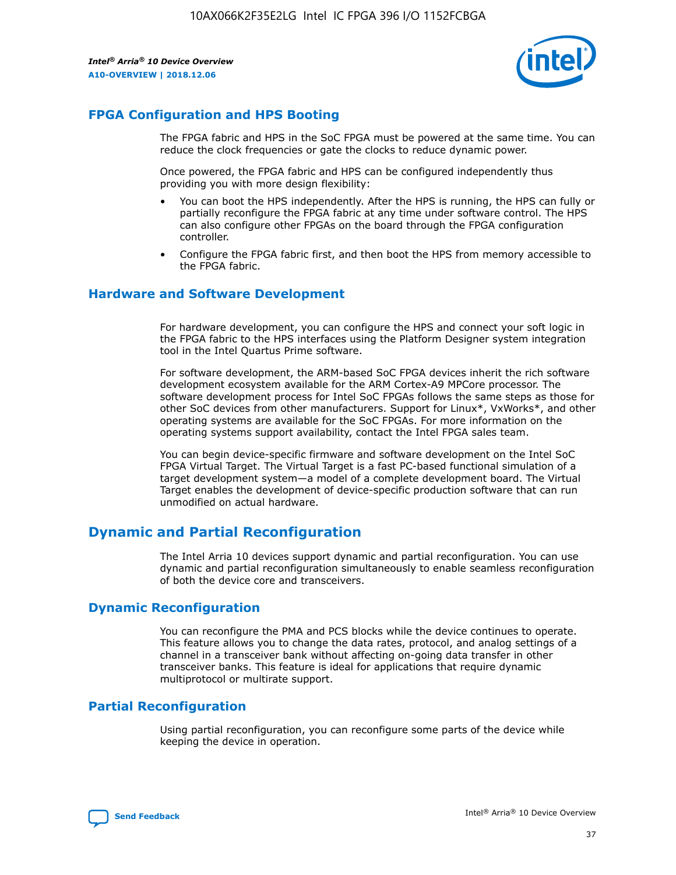

## **FPGA Configuration and HPS Booting**

The FPGA fabric and HPS in the SoC FPGA must be powered at the same time. You can reduce the clock frequencies or gate the clocks to reduce dynamic power.

Once powered, the FPGA fabric and HPS can be configured independently thus providing you with more design flexibility:

- You can boot the HPS independently. After the HPS is running, the HPS can fully or partially reconfigure the FPGA fabric at any time under software control. The HPS can also configure other FPGAs on the board through the FPGA configuration controller.
- Configure the FPGA fabric first, and then boot the HPS from memory accessible to the FPGA fabric.

## **Hardware and Software Development**

For hardware development, you can configure the HPS and connect your soft logic in the FPGA fabric to the HPS interfaces using the Platform Designer system integration tool in the Intel Quartus Prime software.

For software development, the ARM-based SoC FPGA devices inherit the rich software development ecosystem available for the ARM Cortex-A9 MPCore processor. The software development process for Intel SoC FPGAs follows the same steps as those for other SoC devices from other manufacturers. Support for Linux\*, VxWorks\*, and other operating systems are available for the SoC FPGAs. For more information on the operating systems support availability, contact the Intel FPGA sales team.

You can begin device-specific firmware and software development on the Intel SoC FPGA Virtual Target. The Virtual Target is a fast PC-based functional simulation of a target development system—a model of a complete development board. The Virtual Target enables the development of device-specific production software that can run unmodified on actual hardware.

## **Dynamic and Partial Reconfiguration**

The Intel Arria 10 devices support dynamic and partial reconfiguration. You can use dynamic and partial reconfiguration simultaneously to enable seamless reconfiguration of both the device core and transceivers.

## **Dynamic Reconfiguration**

You can reconfigure the PMA and PCS blocks while the device continues to operate. This feature allows you to change the data rates, protocol, and analog settings of a channel in a transceiver bank without affecting on-going data transfer in other transceiver banks. This feature is ideal for applications that require dynamic multiprotocol or multirate support.

## **Partial Reconfiguration**

Using partial reconfiguration, you can reconfigure some parts of the device while keeping the device in operation.

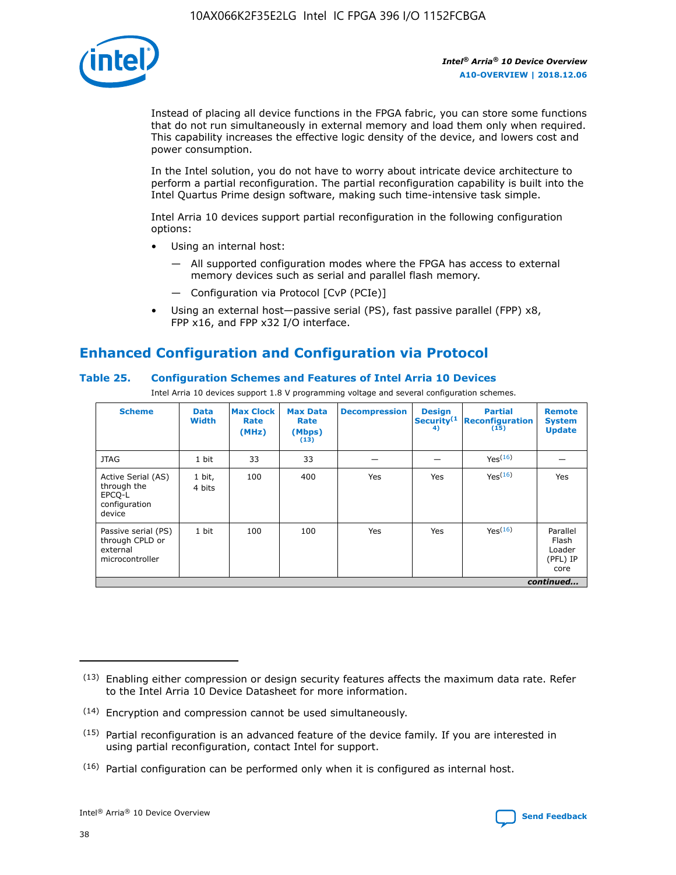

Instead of placing all device functions in the FPGA fabric, you can store some functions that do not run simultaneously in external memory and load them only when required. This capability increases the effective logic density of the device, and lowers cost and power consumption.

In the Intel solution, you do not have to worry about intricate device architecture to perform a partial reconfiguration. The partial reconfiguration capability is built into the Intel Quartus Prime design software, making such time-intensive task simple.

Intel Arria 10 devices support partial reconfiguration in the following configuration options:

- Using an internal host:
	- All supported configuration modes where the FPGA has access to external memory devices such as serial and parallel flash memory.
	- Configuration via Protocol [CvP (PCIe)]
- Using an external host—passive serial (PS), fast passive parallel (FPP) x8, FPP x16, and FPP x32 I/O interface.

# **Enhanced Configuration and Configuration via Protocol**

## **Table 25. Configuration Schemes and Features of Intel Arria 10 Devices**

Intel Arria 10 devices support 1.8 V programming voltage and several configuration schemes.

| <b>Scheme</b>                                                          | <b>Data</b><br><b>Width</b> | <b>Max Clock</b><br>Rate<br>(MHz) | <b>Max Data</b><br>Rate<br>(Mbps)<br>(13) | <b>Decompression</b> | <b>Design</b><br>Security <sup>(1</sup><br>4) | <b>Partial</b><br><b>Reconfiguration</b><br>(15) | <b>Remote</b><br><b>System</b><br><b>Update</b> |
|------------------------------------------------------------------------|-----------------------------|-----------------------------------|-------------------------------------------|----------------------|-----------------------------------------------|--------------------------------------------------|-------------------------------------------------|
| <b>JTAG</b>                                                            | 1 bit                       | 33                                | 33                                        |                      |                                               | Yes(16)                                          |                                                 |
| Active Serial (AS)<br>through the<br>EPCO-L<br>configuration<br>device | 1 bit,<br>4 bits            | 100                               | 400                                       | Yes                  | Yes                                           | $Y_{PS}(16)$                                     | Yes                                             |
| Passive serial (PS)<br>through CPLD or<br>external<br>microcontroller  | 1 bit                       | 100                               | 100                                       | Yes                  | Yes                                           | Yes(16)                                          | Parallel<br>Flash<br>Loader<br>(PFL) IP<br>core |
|                                                                        |                             |                                   |                                           |                      |                                               |                                                  | continued                                       |

<sup>(13)</sup> Enabling either compression or design security features affects the maximum data rate. Refer to the Intel Arria 10 Device Datasheet for more information.

<sup>(14)</sup> Encryption and compression cannot be used simultaneously.

 $<sup>(15)</sup>$  Partial reconfiguration is an advanced feature of the device family. If you are interested in</sup> using partial reconfiguration, contact Intel for support.

 $(16)$  Partial configuration can be performed only when it is configured as internal host.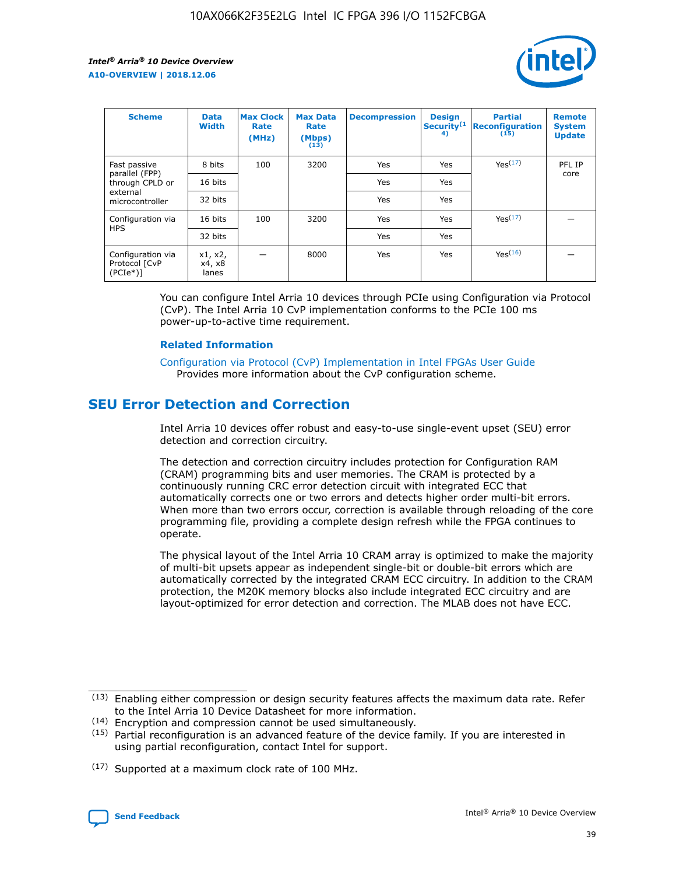

| <b>Scheme</b>                                    | <b>Data</b><br><b>Width</b> | <b>Max Clock</b><br>Rate<br>(MHz) | <b>Max Data</b><br>Rate<br>(Mbps)<br>(13) | <b>Decompression</b> | <b>Design</b><br>Security <sup>(1</sup><br>4) | <b>Partial</b><br><b>Reconfiguration</b><br>(15) | <b>Remote</b><br><b>System</b><br><b>Update</b> |
|--------------------------------------------------|-----------------------------|-----------------------------------|-------------------------------------------|----------------------|-----------------------------------------------|--------------------------------------------------|-------------------------------------------------|
| Fast passive                                     | 8 bits                      | 100                               | 3200                                      | <b>Yes</b>           | Yes                                           | Yes(17)                                          | PFL IP                                          |
| parallel (FPP)<br>through CPLD or                | 16 bits                     |                                   |                                           | Yes                  | Yes                                           |                                                  | core                                            |
| external<br>microcontroller                      | 32 bits                     |                                   |                                           | Yes                  | Yes                                           |                                                  |                                                 |
| Configuration via                                | 16 bits                     | 100                               | 3200                                      | Yes                  | Yes                                           | Yes <sup>(17)</sup>                              |                                                 |
| <b>HPS</b>                                       | 32 bits                     |                                   |                                           | Yes                  | Yes                                           |                                                  |                                                 |
| Configuration via<br>Protocol [CvP<br>$(PCIe^*)$ | x1, x2,<br>x4, x8<br>lanes  |                                   | 8000                                      | Yes                  | Yes                                           | Yes <sup>(16)</sup>                              |                                                 |

You can configure Intel Arria 10 devices through PCIe using Configuration via Protocol (CvP). The Intel Arria 10 CvP implementation conforms to the PCIe 100 ms power-up-to-active time requirement.

#### **Related Information**

[Configuration via Protocol \(CvP\) Implementation in Intel FPGAs User Guide](https://www.intel.com/content/www/us/en/programmable/documentation/dsu1441819344145.html#dsu1442269728522) Provides more information about the CvP configuration scheme.

## **SEU Error Detection and Correction**

Intel Arria 10 devices offer robust and easy-to-use single-event upset (SEU) error detection and correction circuitry.

The detection and correction circuitry includes protection for Configuration RAM (CRAM) programming bits and user memories. The CRAM is protected by a continuously running CRC error detection circuit with integrated ECC that automatically corrects one or two errors and detects higher order multi-bit errors. When more than two errors occur, correction is available through reloading of the core programming file, providing a complete design refresh while the FPGA continues to operate.

The physical layout of the Intel Arria 10 CRAM array is optimized to make the majority of multi-bit upsets appear as independent single-bit or double-bit errors which are automatically corrected by the integrated CRAM ECC circuitry. In addition to the CRAM protection, the M20K memory blocks also include integrated ECC circuitry and are layout-optimized for error detection and correction. The MLAB does not have ECC.

(14) Encryption and compression cannot be used simultaneously.

<sup>(17)</sup> Supported at a maximum clock rate of 100 MHz.



 $(13)$  Enabling either compression or design security features affects the maximum data rate. Refer to the Intel Arria 10 Device Datasheet for more information.

 $(15)$  Partial reconfiguration is an advanced feature of the device family. If you are interested in using partial reconfiguration, contact Intel for support.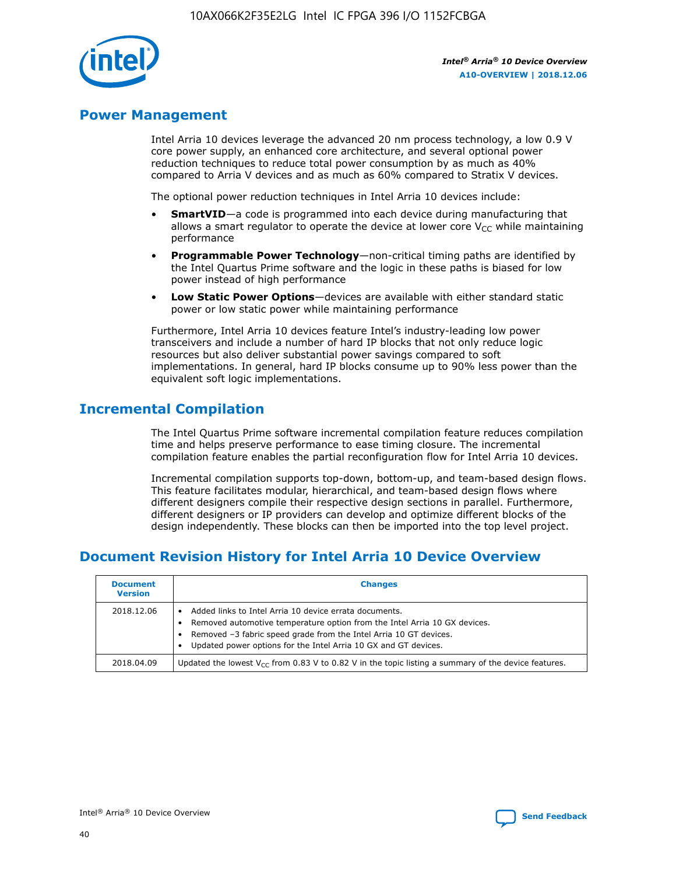

## **Power Management**

Intel Arria 10 devices leverage the advanced 20 nm process technology, a low 0.9 V core power supply, an enhanced core architecture, and several optional power reduction techniques to reduce total power consumption by as much as 40% compared to Arria V devices and as much as 60% compared to Stratix V devices.

The optional power reduction techniques in Intel Arria 10 devices include:

- **SmartVID**—a code is programmed into each device during manufacturing that allows a smart regulator to operate the device at lower core  $V_{CC}$  while maintaining performance
- **Programmable Power Technology**—non-critical timing paths are identified by the Intel Quartus Prime software and the logic in these paths is biased for low power instead of high performance
- **Low Static Power Options**—devices are available with either standard static power or low static power while maintaining performance

Furthermore, Intel Arria 10 devices feature Intel's industry-leading low power transceivers and include a number of hard IP blocks that not only reduce logic resources but also deliver substantial power savings compared to soft implementations. In general, hard IP blocks consume up to 90% less power than the equivalent soft logic implementations.

## **Incremental Compilation**

The Intel Quartus Prime software incremental compilation feature reduces compilation time and helps preserve performance to ease timing closure. The incremental compilation feature enables the partial reconfiguration flow for Intel Arria 10 devices.

Incremental compilation supports top-down, bottom-up, and team-based design flows. This feature facilitates modular, hierarchical, and team-based design flows where different designers compile their respective design sections in parallel. Furthermore, different designers or IP providers can develop and optimize different blocks of the design independently. These blocks can then be imported into the top level project.

## **Document Revision History for Intel Arria 10 Device Overview**

| <b>Document</b><br><b>Version</b> | <b>Changes</b>                                                                                                                                                                                                                                                              |
|-----------------------------------|-----------------------------------------------------------------------------------------------------------------------------------------------------------------------------------------------------------------------------------------------------------------------------|
| 2018.12.06                        | Added links to Intel Arria 10 device errata documents.<br>Removed automotive temperature option from the Intel Arria 10 GX devices.<br>Removed -3 fabric speed grade from the Intel Arria 10 GT devices.<br>Updated power options for the Intel Arria 10 GX and GT devices. |
| 2018.04.09                        | Updated the lowest $V_{CC}$ from 0.83 V to 0.82 V in the topic listing a summary of the device features.                                                                                                                                                                    |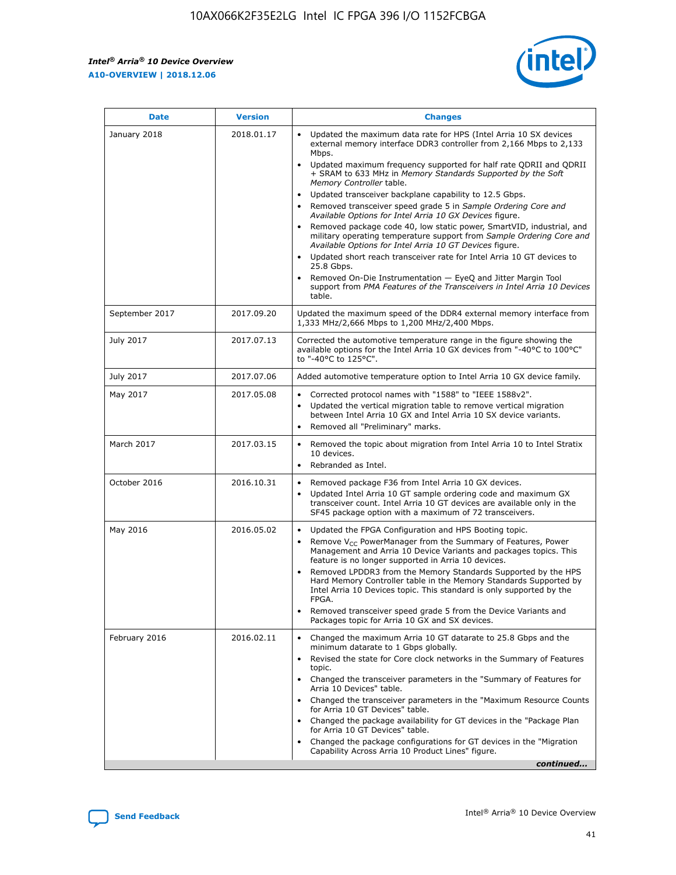*Intel® Arria® 10 Device Overview* **A10-OVERVIEW | 2018.12.06**



| <b>Date</b>    | <b>Version</b> | <b>Changes</b>                                                                                                                                                                                                                                                                                                                                                                                                                                                                                                                                                                                                                                                                                                                                                                                                                                                                                                                                                            |
|----------------|----------------|---------------------------------------------------------------------------------------------------------------------------------------------------------------------------------------------------------------------------------------------------------------------------------------------------------------------------------------------------------------------------------------------------------------------------------------------------------------------------------------------------------------------------------------------------------------------------------------------------------------------------------------------------------------------------------------------------------------------------------------------------------------------------------------------------------------------------------------------------------------------------------------------------------------------------------------------------------------------------|
| January 2018   | 2018.01.17     | Updated the maximum data rate for HPS (Intel Arria 10 SX devices<br>external memory interface DDR3 controller from 2,166 Mbps to 2,133<br>Mbps.<br>Updated maximum frequency supported for half rate QDRII and QDRII<br>+ SRAM to 633 MHz in Memory Standards Supported by the Soft<br>Memory Controller table.<br>Updated transceiver backplane capability to 12.5 Gbps.<br>$\bullet$<br>Removed transceiver speed grade 5 in Sample Ordering Core and<br>Available Options for Intel Arria 10 GX Devices figure.<br>Removed package code 40, low static power, SmartVID, industrial, and<br>military operating temperature support from Sample Ordering Core and<br>Available Options for Intel Arria 10 GT Devices figure.<br>Updated short reach transceiver rate for Intel Arria 10 GT devices to<br>25.8 Gbps.<br>Removed On-Die Instrumentation - EyeQ and Jitter Margin Tool<br>support from PMA Features of the Transceivers in Intel Arria 10 Devices<br>table. |
| September 2017 | 2017.09.20     | Updated the maximum speed of the DDR4 external memory interface from<br>1,333 MHz/2,666 Mbps to 1,200 MHz/2,400 Mbps.                                                                                                                                                                                                                                                                                                                                                                                                                                                                                                                                                                                                                                                                                                                                                                                                                                                     |
| July 2017      | 2017.07.13     | Corrected the automotive temperature range in the figure showing the<br>available options for the Intel Arria 10 GX devices from "-40°C to 100°C"<br>to "-40°C to 125°C".                                                                                                                                                                                                                                                                                                                                                                                                                                                                                                                                                                                                                                                                                                                                                                                                 |
| July 2017      | 2017.07.06     | Added automotive temperature option to Intel Arria 10 GX device family.                                                                                                                                                                                                                                                                                                                                                                                                                                                                                                                                                                                                                                                                                                                                                                                                                                                                                                   |
| May 2017       | 2017.05.08     | Corrected protocol names with "1588" to "IEEE 1588v2".<br>$\bullet$<br>Updated the vertical migration table to remove vertical migration<br>$\bullet$<br>between Intel Arria 10 GX and Intel Arria 10 SX device variants.<br>Removed all "Preliminary" marks.<br>$\bullet$                                                                                                                                                                                                                                                                                                                                                                                                                                                                                                                                                                                                                                                                                                |
| March 2017     | 2017.03.15     | Removed the topic about migration from Intel Arria 10 to Intel Stratix<br>10 devices.<br>Rebranded as Intel.<br>$\bullet$                                                                                                                                                                                                                                                                                                                                                                                                                                                                                                                                                                                                                                                                                                                                                                                                                                                 |
| October 2016   | 2016.10.31     | Removed package F36 from Intel Arria 10 GX devices.<br>Updated Intel Arria 10 GT sample ordering code and maximum GX<br>$\bullet$<br>transceiver count. Intel Arria 10 GT devices are available only in the<br>SF45 package option with a maximum of 72 transceivers.                                                                                                                                                                                                                                                                                                                                                                                                                                                                                                                                                                                                                                                                                                     |
| May 2016       | 2016.05.02     | Updated the FPGA Configuration and HPS Booting topic.<br>$\bullet$<br>Remove V <sub>CC</sub> PowerManager from the Summary of Features, Power<br>Management and Arria 10 Device Variants and packages topics. This<br>feature is no longer supported in Arria 10 devices.<br>Removed LPDDR3 from the Memory Standards Supported by the HPS<br>Hard Memory Controller table in the Memory Standards Supported by<br>Intel Arria 10 Devices topic. This standard is only supported by the<br>FPGA.<br>Removed transceiver speed grade 5 from the Device Variants and<br>Packages topic for Arria 10 GX and SX devices.                                                                                                                                                                                                                                                                                                                                                      |
| February 2016  | 2016.02.11     | Changed the maximum Arria 10 GT datarate to 25.8 Gbps and the<br>minimum datarate to 1 Gbps globally.<br>Revised the state for Core clock networks in the Summary of Features<br>$\bullet$<br>topic.<br>Changed the transceiver parameters in the "Summary of Features for<br>$\bullet$<br>Arria 10 Devices" table.<br>• Changed the transceiver parameters in the "Maximum Resource Counts<br>for Arria 10 GT Devices" table.<br>Changed the package availability for GT devices in the "Package Plan<br>for Arria 10 GT Devices" table.<br>Changed the package configurations for GT devices in the "Migration"<br>Capability Across Arria 10 Product Lines" figure.<br>continued                                                                                                                                                                                                                                                                                       |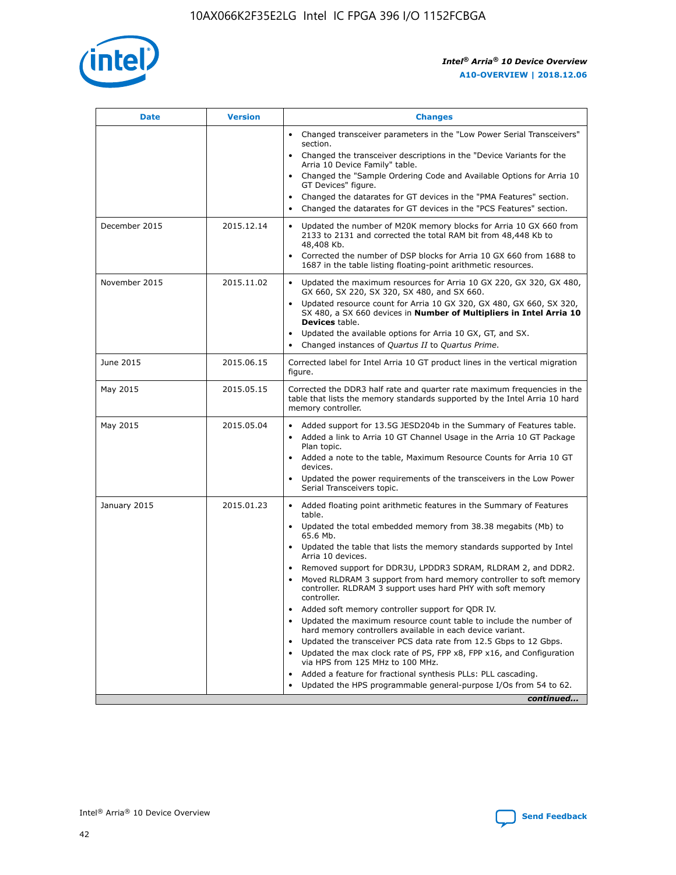

| <b>Date</b>   | <b>Version</b> | <b>Changes</b>                                                                                                                                                               |
|---------------|----------------|------------------------------------------------------------------------------------------------------------------------------------------------------------------------------|
|               |                | • Changed transceiver parameters in the "Low Power Serial Transceivers"<br>section.                                                                                          |
|               |                | • Changed the transceiver descriptions in the "Device Variants for the<br>Arria 10 Device Family" table.                                                                     |
|               |                | Changed the "Sample Ordering Code and Available Options for Arria 10<br>$\bullet$<br>GT Devices" figure.                                                                     |
|               |                | Changed the datarates for GT devices in the "PMA Features" section.                                                                                                          |
|               |                | Changed the datarates for GT devices in the "PCS Features" section.<br>$\bullet$                                                                                             |
| December 2015 | 2015.12.14     | Updated the number of M20K memory blocks for Arria 10 GX 660 from<br>2133 to 2131 and corrected the total RAM bit from 48,448 Kb to<br>48,408 Kb.                            |
|               |                | Corrected the number of DSP blocks for Arria 10 GX 660 from 1688 to<br>1687 in the table listing floating-point arithmetic resources.                                        |
| November 2015 | 2015.11.02     | Updated the maximum resources for Arria 10 GX 220, GX 320, GX 480,<br>$\bullet$<br>GX 660, SX 220, SX 320, SX 480, and SX 660.                                               |
|               |                | • Updated resource count for Arria 10 GX 320, GX 480, GX 660, SX 320,<br>SX 480, a SX 660 devices in Number of Multipliers in Intel Arria 10<br><b>Devices</b> table.        |
|               |                | Updated the available options for Arria 10 GX, GT, and SX.                                                                                                                   |
|               |                | Changed instances of Quartus II to Quartus Prime.<br>$\bullet$                                                                                                               |
| June 2015     | 2015.06.15     | Corrected label for Intel Arria 10 GT product lines in the vertical migration<br>figure.                                                                                     |
| May 2015      | 2015.05.15     | Corrected the DDR3 half rate and quarter rate maximum frequencies in the<br>table that lists the memory standards supported by the Intel Arria 10 hard<br>memory controller. |
| May 2015      | 2015.05.04     | • Added support for 13.5G JESD204b in the Summary of Features table.<br>• Added a link to Arria 10 GT Channel Usage in the Arria 10 GT Package<br>Plan topic.                |
|               |                | • Added a note to the table, Maximum Resource Counts for Arria 10 GT<br>devices.                                                                                             |
|               |                | • Updated the power requirements of the transceivers in the Low Power<br>Serial Transceivers topic.                                                                          |
| January 2015  | 2015.01.23     | • Added floating point arithmetic features in the Summary of Features<br>table.                                                                                              |
|               |                | • Updated the total embedded memory from 38.38 megabits (Mb) to<br>65.6 Mb.                                                                                                  |
|               |                | • Updated the table that lists the memory standards supported by Intel<br>Arria 10 devices.                                                                                  |
|               |                | Removed support for DDR3U, LPDDR3 SDRAM, RLDRAM 2, and DDR2.                                                                                                                 |
|               |                | Moved RLDRAM 3 support from hard memory controller to soft memory<br>controller. RLDRAM 3 support uses hard PHY with soft memory<br>controller.                              |
|               |                | Added soft memory controller support for QDR IV.<br>٠                                                                                                                        |
|               |                | Updated the maximum resource count table to include the number of<br>hard memory controllers available in each device variant.                                               |
|               |                | Updated the transceiver PCS data rate from 12.5 Gbps to 12 Gbps.<br>$\bullet$                                                                                                |
|               |                | Updated the max clock rate of PS, FPP x8, FPP x16, and Configuration<br>via HPS from 125 MHz to 100 MHz.                                                                     |
|               |                | Added a feature for fractional synthesis PLLs: PLL cascading.                                                                                                                |
|               |                | Updated the HPS programmable general-purpose I/Os from 54 to 62.<br>$\bullet$<br>continued                                                                                   |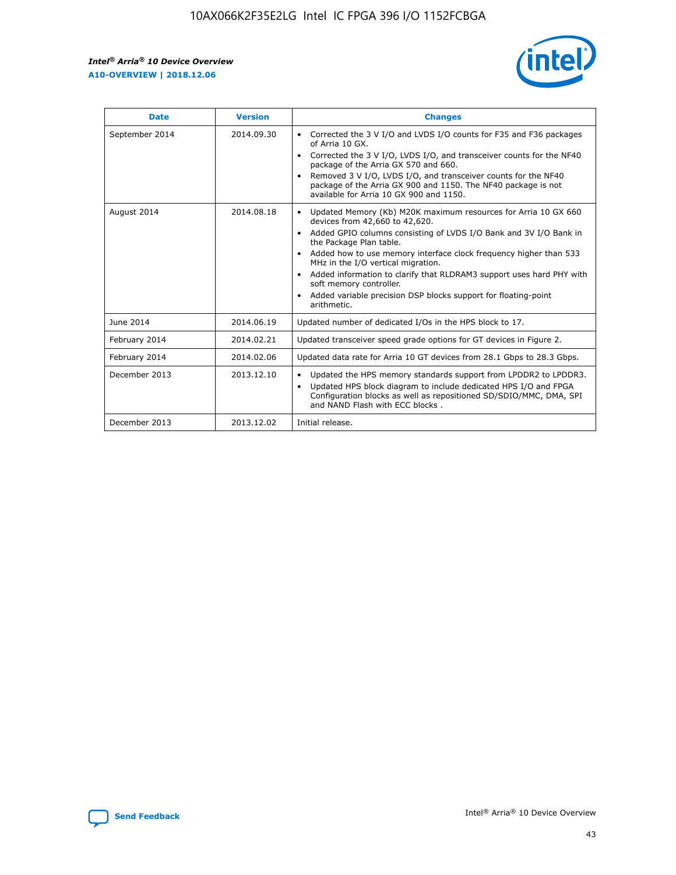r



| <b>Date</b>    | <b>Version</b> | <b>Changes</b>                                                                                                                                                                                                                                                                                                                                                                                                                                                                                                                                      |
|----------------|----------------|-----------------------------------------------------------------------------------------------------------------------------------------------------------------------------------------------------------------------------------------------------------------------------------------------------------------------------------------------------------------------------------------------------------------------------------------------------------------------------------------------------------------------------------------------------|
| September 2014 | 2014.09.30     | Corrected the 3 V I/O and LVDS I/O counts for F35 and F36 packages<br>$\bullet$<br>of Arria 10 GX.<br>Corrected the 3 V I/O, LVDS I/O, and transceiver counts for the NF40<br>$\bullet$<br>package of the Arria GX 570 and 660.<br>Removed 3 V I/O, LVDS I/O, and transceiver counts for the NF40<br>$\bullet$<br>package of the Arria GX 900 and 1150. The NF40 package is not<br>available for Arria 10 GX 900 and 1150.                                                                                                                          |
| August 2014    | 2014.08.18     | Updated Memory (Kb) M20K maximum resources for Arria 10 GX 660<br>devices from 42,660 to 42,620.<br>Added GPIO columns consisting of LVDS I/O Bank and 3V I/O Bank in<br>$\bullet$<br>the Package Plan table.<br>Added how to use memory interface clock frequency higher than 533<br>$\bullet$<br>MHz in the I/O vertical migration.<br>Added information to clarify that RLDRAM3 support uses hard PHY with<br>$\bullet$<br>soft memory controller.<br>Added variable precision DSP blocks support for floating-point<br>$\bullet$<br>arithmetic. |
| June 2014      | 2014.06.19     | Updated number of dedicated I/Os in the HPS block to 17.                                                                                                                                                                                                                                                                                                                                                                                                                                                                                            |
| February 2014  | 2014.02.21     | Updated transceiver speed grade options for GT devices in Figure 2.                                                                                                                                                                                                                                                                                                                                                                                                                                                                                 |
| February 2014  | 2014.02.06     | Updated data rate for Arria 10 GT devices from 28.1 Gbps to 28.3 Gbps.                                                                                                                                                                                                                                                                                                                                                                                                                                                                              |
| December 2013  | 2013.12.10     | Updated the HPS memory standards support from LPDDR2 to LPDDR3.<br>Updated HPS block diagram to include dedicated HPS I/O and FPGA<br>$\bullet$<br>Configuration blocks as well as repositioned SD/SDIO/MMC, DMA, SPI<br>and NAND Flash with ECC blocks.                                                                                                                                                                                                                                                                                            |
| December 2013  | 2013.12.02     | Initial release.                                                                                                                                                                                                                                                                                                                                                                                                                                                                                                                                    |